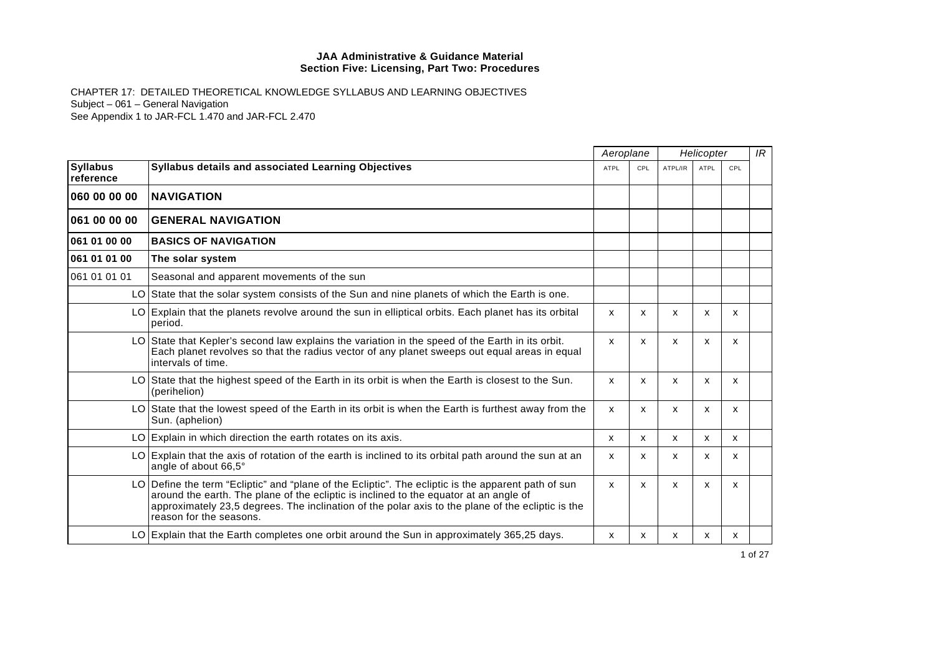|                              |                                                                                                                                                                                                                                                                                                                              |             | Aeroplane  |         | Helicopter                |                           |  |
|------------------------------|------------------------------------------------------------------------------------------------------------------------------------------------------------------------------------------------------------------------------------------------------------------------------------------------------------------------------|-------------|------------|---------|---------------------------|---------------------------|--|
| <b>Syllabus</b><br>reference | Syllabus details and associated Learning Objectives                                                                                                                                                                                                                                                                          | <b>ATPL</b> | <b>CPL</b> | ATPL/IR | <b>ATPL</b>               | CPL                       |  |
| 060 00 00 00                 | <b>NAVIGATION</b>                                                                                                                                                                                                                                                                                                            |             |            |         |                           |                           |  |
| 061 00 00 00                 | <b>GENERAL NAVIGATION</b>                                                                                                                                                                                                                                                                                                    |             |            |         |                           |                           |  |
| 061 01 00 00                 | <b>BASICS OF NAVIGATION</b>                                                                                                                                                                                                                                                                                                  |             |            |         |                           |                           |  |
| 061 01 01 00                 | The solar system                                                                                                                                                                                                                                                                                                             |             |            |         |                           |                           |  |
| 061 01 01 01                 | Seasonal and apparent movements of the sun                                                                                                                                                                                                                                                                                   |             |            |         |                           |                           |  |
|                              | LO State that the solar system consists of the Sun and nine planets of which the Earth is one.                                                                                                                                                                                                                               |             |            |         |                           |                           |  |
|                              | LO Explain that the planets revolve around the sun in elliptical orbits. Each planet has its orbital<br>period.                                                                                                                                                                                                              | X           | X          | x       | x                         | x                         |  |
|                              | LO State that Kepler's second law explains the variation in the speed of the Earth in its orbit.<br>Each planet revolves so that the radius vector of any planet sweeps out equal areas in equal<br>intervals of time.                                                                                                       | x           | X          | X       | $\boldsymbol{\mathsf{x}}$ | $\boldsymbol{\mathsf{x}}$ |  |
|                              | LO State that the highest speed of the Earth in its orbit is when the Earth is closest to the Sun.<br>(perihelion)                                                                                                                                                                                                           | X           | X          | X       | X                         | X                         |  |
|                              | LO State that the lowest speed of the Earth in its orbit is when the Earth is furthest away from the<br>Sun. (aphelion)                                                                                                                                                                                                      | x           | X          | x       | X                         | X                         |  |
|                              | LO Explain in which direction the earth rotates on its axis.                                                                                                                                                                                                                                                                 | X           | X          | X       | X                         | $\boldsymbol{\mathsf{x}}$ |  |
|                              | LO Explain that the axis of rotation of the earth is inclined to its orbital path around the sun at an<br>angle of about 66,5°                                                                                                                                                                                               | x           | X          | x       | x                         | x                         |  |
|                              | LO Define the term "Ecliptic" and "plane of the Ecliptic". The ecliptic is the apparent path of sun<br>around the earth. The plane of the ecliptic is inclined to the equator at an angle of<br>approximately 23,5 degrees. The inclination of the polar axis to the plane of the ecliptic is the<br>reason for the seasons. | x           | X          | X       | $\boldsymbol{\mathsf{x}}$ | $\boldsymbol{\mathsf{x}}$ |  |
|                              | LO Explain that the Earth completes one orbit around the Sun in approximately 365,25 days.                                                                                                                                                                                                                                   | х           | x          | x       | х                         | х                         |  |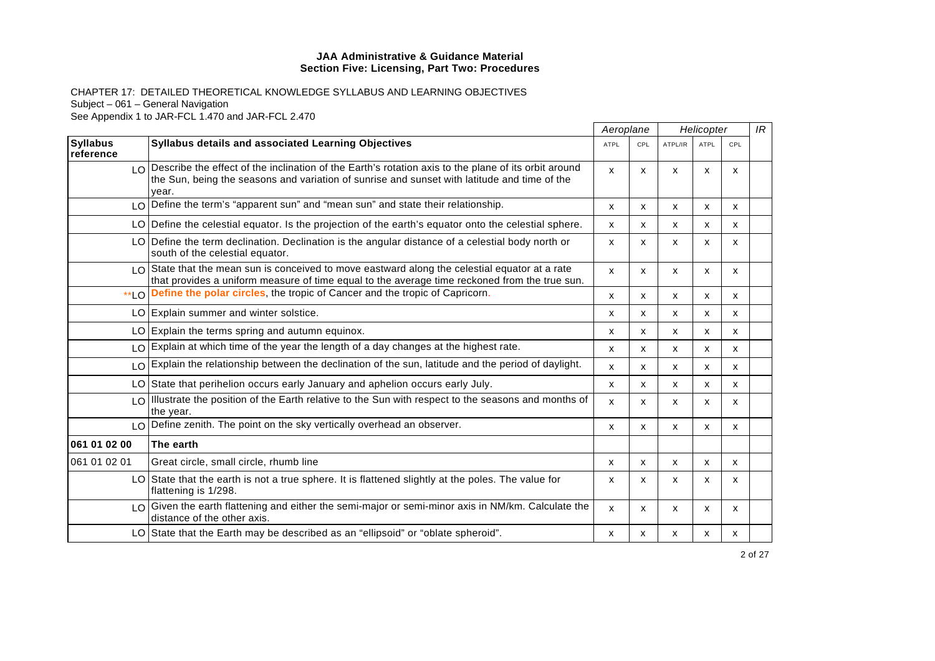|                              |                                                                                                                                                                                                                  | Aeroplane   |              | Helicopter |             |              | IR |
|------------------------------|------------------------------------------------------------------------------------------------------------------------------------------------------------------------------------------------------------------|-------------|--------------|------------|-------------|--------------|----|
| <b>Syllabus</b><br>reference | Syllabus details and associated Learning Objectives                                                                                                                                                              | <b>ATPL</b> | CPL          | ATPL/IR    | <b>ATPL</b> | CPL          |    |
|                              | LO Describe the effect of the inclination of the Earth's rotation axis to the plane of its orbit around<br>the Sun, being the seasons and variation of sunrise and sunset with latitude and time of the<br>year. | x           | X            | X          | X           | X            |    |
|                              | LO Define the term's "apparent sun" and "mean sun" and state their relationship.                                                                                                                                 | x           | X            | x          | X           | X            |    |
|                              | LO Define the celestial equator. Is the projection of the earth's equator onto the celestial sphere.                                                                                                             | X           | X            | x          | X           | $\mathsf{x}$ |    |
|                              | LO Define the term declination. Declination is the angular distance of a celestial body north or<br>south of the celestial equator.                                                                              | X           | x            | x          | X           | x            |    |
|                              | LO State that the mean sun is conceived to move eastward along the celestial equator at a rate<br>that provides a uniform measure of time equal to the average time reckoned from the true sun.                  | x           | X            | x          | X           | X            |    |
| $*$ LO                       | Define the polar circles, the tropic of Cancer and the tropic of Capricorn.                                                                                                                                      | x           | X            | X          | X           | X            |    |
|                              | LO Explain summer and winter solstice.                                                                                                                                                                           | X           | $\mathsf{x}$ | x          | X           | X            |    |
|                              | LO Explain the terms spring and autumn equinox.                                                                                                                                                                  | X           | x            | x          | x           | x            |    |
|                              | LO Explain at which time of the year the length of a day changes at the highest rate.                                                                                                                            | x           | X            | x          | X           | x            |    |
|                              | LO Explain the relationship between the declination of the sun, latitude and the period of daylight.                                                                                                             | x           | x            | x          | x           | x            |    |
| LO I                         | State that perihelion occurs early January and aphelion occurs early July.                                                                                                                                       | X           | X            | X          | X           | X            |    |
| LO.                          | Illustrate the position of the Earth relative to the Sun with respect to the seasons and months of<br>the year.                                                                                                  | X           | X            | X          | X           | x            |    |
| LOI                          | Define zenith. The point on the sky vertically overhead an observer.                                                                                                                                             | X           | x            | X          | x           | x            |    |
| 061 01 02 00                 | The earth                                                                                                                                                                                                        |             |              |            |             |              |    |
| 061 01 02 01                 | Great circle, small circle, rhumb line                                                                                                                                                                           | x           | X            | X          | X           | X            |    |
|                              | LO State that the earth is not a true sphere. It is flattened slightly at the poles. The value for<br>flattening is 1/298.                                                                                       | x           | X            | X          | X           | $\mathsf{x}$ |    |
|                              | LO Given the earth flattening and either the semi-major or semi-minor axis in NM/km. Calculate the<br>distance of the other axis.                                                                                | x           | X            | X          | X           | X            |    |
|                              | LO State that the Earth may be described as an "ellipsoid" or "oblate spheroid".                                                                                                                                 | x           | x            | x          | х           | x            |    |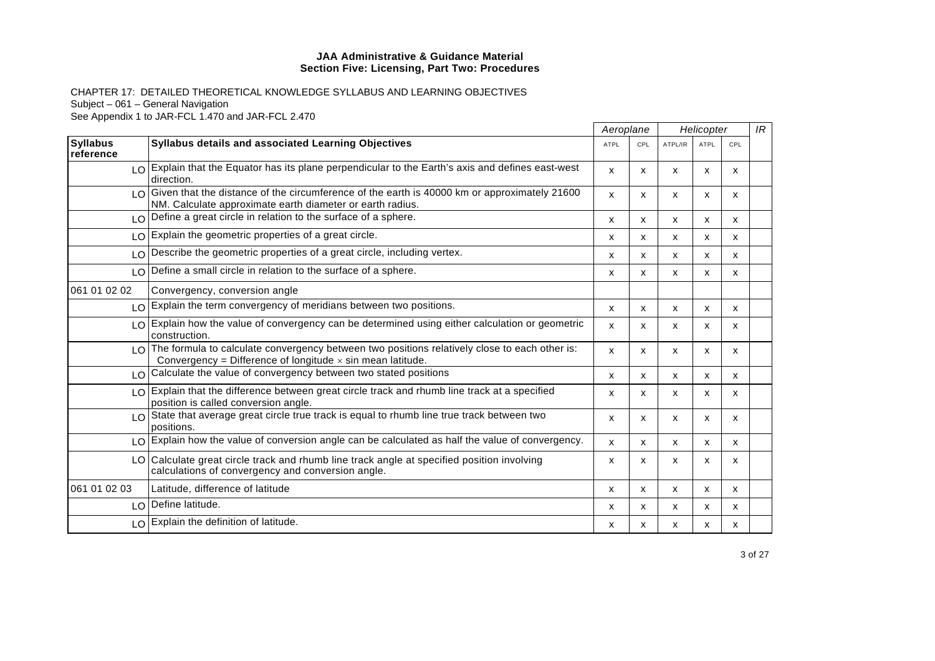|                              |                                                                                                                                                                           | Aeroplane                 |     | Helicopter                |             | IR  |  |
|------------------------------|---------------------------------------------------------------------------------------------------------------------------------------------------------------------------|---------------------------|-----|---------------------------|-------------|-----|--|
| <b>Syllabus</b><br>reference | Syllabus details and associated Learning Objectives                                                                                                                       | <b>ATPL</b>               | CPL | ATPL/IR                   | <b>ATPL</b> | CPL |  |
|                              | LO Explain that the Equator has its plane perpendicular to the Earth's axis and defines east-west<br>direction.                                                           | x                         | x   | X                         | X           | x   |  |
|                              | LO Given that the distance of the circumference of the earth is 40000 km or approximately 21600<br>NM. Calculate approximate earth diameter or earth radius.              | X                         | x   | X                         | X           | x   |  |
|                              | LO Define a great circle in relation to the surface of a sphere.                                                                                                          | $\mathsf{x}$              | x   | X                         | x           | x   |  |
|                              | LO Explain the geometric properties of a great circle.                                                                                                                    | x                         | x   | X                         | x           | x   |  |
| LO.                          | Describe the geometric properties of a great circle, including vertex.                                                                                                    | X                         | x   | X                         | X           | X   |  |
|                              | LO Define a small circle in relation to the surface of a sphere.                                                                                                          | x                         | x   | X                         | x           | x   |  |
| 061 01 02 02                 | Convergency, conversion angle                                                                                                                                             |                           |     |                           |             |     |  |
|                              | LO Explain the term convergency of meridians between two positions.                                                                                                       | $\boldsymbol{\mathsf{x}}$ | X   | $\boldsymbol{\mathsf{x}}$ | X           | X   |  |
|                              | LO Explain how the value of convergency can be determined using either calculation or geometric<br>construction.                                                          | x                         | x   | X                         | x           | x   |  |
|                              | $\log$ The formula to calculate convergency between two positions relatively close to each other is:<br>Convergency = Difference of longitude $\times$ sin mean latitude. | $\mathsf{x}$              | x   | X                         | x           | x   |  |
|                              | LO Calculate the value of convergency between two stated positions                                                                                                        | $\boldsymbol{\mathsf{x}}$ | x   | X                         | X           | X   |  |
|                              | LO Explain that the difference between great circle track and rhumb line track at a specified<br>position is called conversion angle.                                     | X                         | x   | X                         | x           | x   |  |
|                              | $\log$ State that average great circle true track is equal to rhumb line true track between two<br>positions.                                                             | X                         | x   | X                         | x           | x   |  |
|                              | $\log$ Explain how the value of conversion angle can be calculated as half the value of convergency.                                                                      | $\mathsf{x}$              | X   | X                         | x           | x   |  |
|                              | LO Calculate great circle track and rhumb line track angle at specified position involving<br>calculations of convergency and conversion angle.                           | X                         | x   | X                         | X           | X   |  |
| 061 01 02 03                 | Latitude, difference of latitude                                                                                                                                          | $\boldsymbol{\mathsf{x}}$ | X   | X                         | X           | X   |  |
|                              | LO Define latitude.                                                                                                                                                       | X                         | x   | X                         | x           | x   |  |
|                              | LO Explain the definition of latitude.                                                                                                                                    | x                         | x   | X                         | x           | x   |  |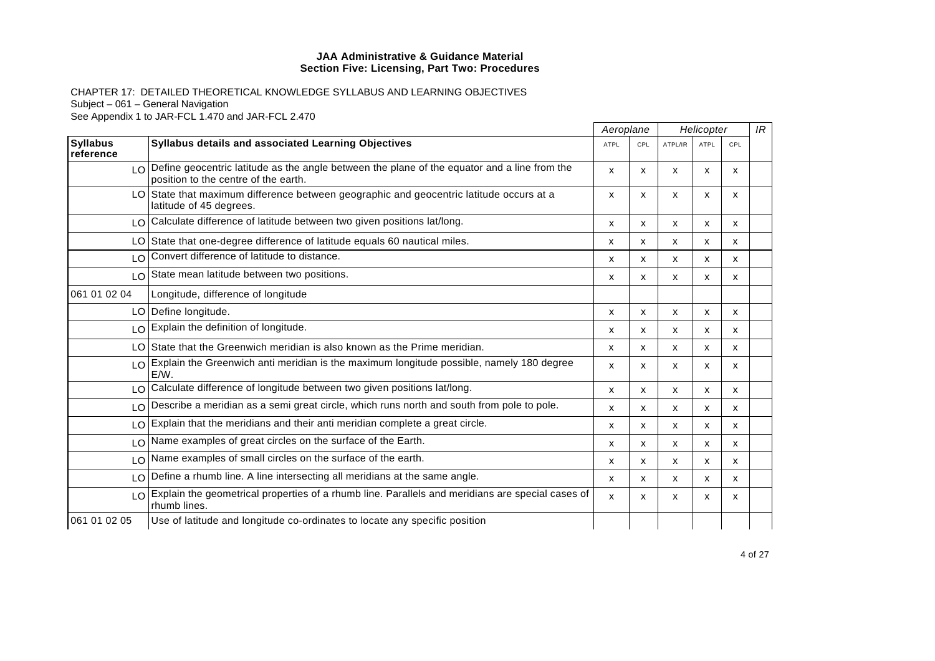|                              |                                                                                                                                         | Aeroplane                 |              | Helicopter |             |     | IR |
|------------------------------|-----------------------------------------------------------------------------------------------------------------------------------------|---------------------------|--------------|------------|-------------|-----|----|
| <b>Syllabus</b><br>reference | Syllabus details and associated Learning Objectives                                                                                     | <b>ATPL</b>               | CPL          | ATPL/IR    | <b>ATPL</b> | CPL |    |
|                              | LO Define geocentric latitude as the angle between the plane of the equator and a line from the<br>position to the centre of the earth. | $\mathsf{x}$              | x            | X          | x           | x   |    |
|                              | LO State that maximum difference between geographic and geocentric latitude occurs at a<br>latitude of 45 degrees.                      | $\boldsymbol{\mathsf{x}}$ | x            | X          | X           | X   |    |
|                              | LO Calculate difference of latitude between two given positions lat/long.                                                               | х                         | x            | x          | х           | х   |    |
|                              | LO State that one-degree difference of latitude equals 60 nautical miles.                                                               | X                         | $\mathsf{x}$ | x          | X           | X   |    |
| LO                           | Convert difference of latitude to distance.                                                                                             | х                         | x            | X          | х           | х   |    |
|                              | LO State mean latitude between two positions.                                                                                           | $\boldsymbol{\mathsf{x}}$ | x            | x          | x           | X   |    |
| 061 01 02 04                 | Longitude, difference of longitude                                                                                                      |                           |              |            |             |     |    |
|                              | LO Define longitude.                                                                                                                    | X                         | x            | X          | X           | х   |    |
|                              | LO Explain the definition of longitude.                                                                                                 | X                         | x            | X          | x           | X   |    |
|                              | LO State that the Greenwich meridian is also known as the Prime meridian.                                                               | x                         | x            | x          | x           | X   |    |
|                              | LO Explain the Greenwich anti meridian is the maximum longitude possible, namely 180 degree<br>E/W.                                     | $\mathsf{x}$              | x            | X          | x           | X   |    |
|                              | LO Calculate difference of longitude between two given positions lat/long.                                                              | $\boldsymbol{\mathsf{x}}$ | x            | x          | X           | X   |    |
|                              | LO Describe a meridian as a semi great circle, which runs north and south from pole to pole.                                            | $\boldsymbol{\mathsf{x}}$ | x            | X          | X           | X   |    |
|                              | LO Explain that the meridians and their anti meridian complete a great circle.                                                          | X                         | x            | X          | X           | X   |    |
| LO.                          | Name examples of great circles on the surface of the Earth.                                                                             | $\boldsymbol{\mathsf{x}}$ | x            | X          | X           | X   |    |
| LO                           | Name examples of small circles on the surface of the earth.                                                                             | $\boldsymbol{\mathsf{x}}$ | x            | X          | X           | X   |    |
|                              | $LO$ Define a rhumb line. A line intersecting all meridians at the same angle.                                                          | $\mathsf{x}$              | X            | x          | x           | X   |    |
| LO                           | Explain the geometrical properties of a rhumb line. Parallels and meridians are special cases of<br>rhumb lines.                        | $\boldsymbol{\mathsf{x}}$ | x            | x          | x           | X   |    |
| 061 01 02 05                 | Use of latitude and longitude co-ordinates to locate any specific position                                                              |                           |              |            |             |     |    |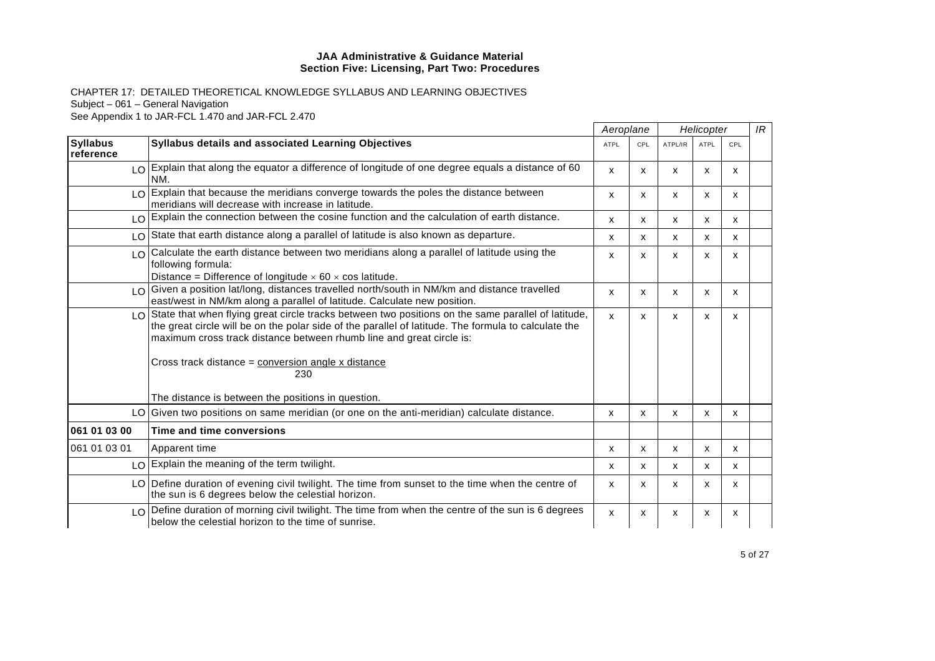|                              |                                                                                                                                                                                                                                                                                       | Aeroplane                 |              |         | Helicopter  |     | IR |
|------------------------------|---------------------------------------------------------------------------------------------------------------------------------------------------------------------------------------------------------------------------------------------------------------------------------------|---------------------------|--------------|---------|-------------|-----|----|
| <b>Syllabus</b><br>reference | <b>Syllabus details and associated Learning Objectives</b>                                                                                                                                                                                                                            | <b>ATPL</b>               | CPL          | ATPL/IR | <b>ATPL</b> | CPL |    |
|                              | LO Explain that along the equator a difference of longitude of one degree equals a distance of 60<br>NM.                                                                                                                                                                              | X                         | X            | X       | x           | x   |    |
|                              | LO Explain that because the meridians converge towards the poles the distance between<br>meridians will decrease with increase in latitude.                                                                                                                                           | $\boldsymbol{\mathsf{x}}$ | X            | X       | X           | X   |    |
|                              | LO Explain the connection between the cosine function and the calculation of earth distance.                                                                                                                                                                                          | $\boldsymbol{\mathsf{x}}$ | X            | X       | X           | X   |    |
|                              | LO State that earth distance along a parallel of latitude is also known as departure.                                                                                                                                                                                                 | x                         | x            | X       | x           | X   |    |
|                              | $\log$ Calculate the earth distance between two meridians along a parallel of latitude using the<br>following formula:<br>Distance = Difference of longitude $\times$ 60 $\times$ cos latitude.                                                                                       | X                         | x            | x       | x           | x   |    |
|                              | LO Given a position lat/long, distances travelled north/south in NM/km and distance travelled<br>east/west in NM/km along a parallel of latitude. Calculate new position.                                                                                                             | $\boldsymbol{\mathsf{x}}$ | x            | X       | x           | X   |    |
|                              | LO State that when flying great circle tracks between two positions on the same parallel of latitude,<br>the great circle will be on the polar side of the parallel of latitude. The formula to calculate the<br>maximum cross track distance between rhumb line and great circle is: | $\mathsf{x}$              | $\mathsf{x}$ | X       | X           | X   |    |
|                              | Cross track distance = conversion angle x distance<br>230                                                                                                                                                                                                                             |                           |              |         |             |     |    |
|                              | The distance is between the positions in question.                                                                                                                                                                                                                                    |                           |              |         |             |     |    |
|                              | LO Given two positions on same meridian (or one on the anti-meridian) calculate distance.                                                                                                                                                                                             | $\mathsf{x}$              | x            | X       | X           | X   |    |
| 061 01 03 00                 | Time and time conversions                                                                                                                                                                                                                                                             |                           |              |         |             |     |    |
| 061 01 03 01                 | Apparent time                                                                                                                                                                                                                                                                         | $\mathsf{x}$              | X            | X       | x           | x   |    |
|                              | LO Explain the meaning of the term twilight.                                                                                                                                                                                                                                          | $\mathsf{x}$              | x            | X       | x           | x   |    |
|                              | LO Define duration of evening civil twilight. The time from sunset to the time when the centre of<br>the sun is 6 degrees below the celestial horizon.                                                                                                                                | X                         | x            | X       | X           | X   |    |
|                              | $\log$ Define duration of morning civil twilight. The time from when the centre of the sun is 6 degrees<br>below the celestial horizon to the time of sunrise.                                                                                                                        | $\boldsymbol{\mathsf{x}}$ | x            | X       | X           | X   |    |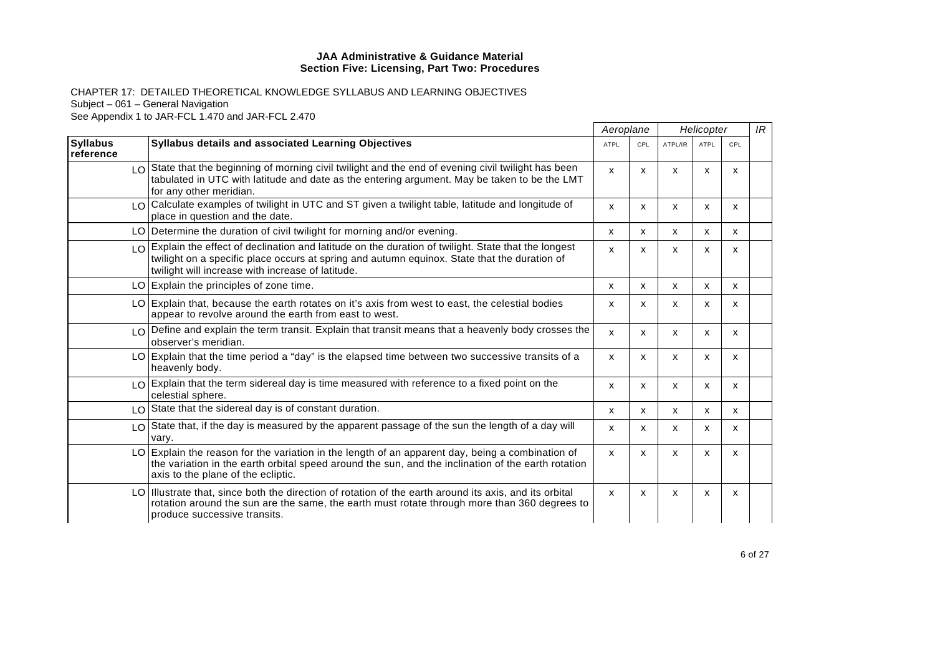|                              |                                                                                                                                                                                                                                                            | Aeroplane   |              | Helicopter |             |     | IR |
|------------------------------|------------------------------------------------------------------------------------------------------------------------------------------------------------------------------------------------------------------------------------------------------------|-------------|--------------|------------|-------------|-----|----|
| <b>Syllabus</b><br>reference | Syllabus details and associated Learning Objectives                                                                                                                                                                                                        | <b>ATPL</b> | CPL          | ATPL/IR    | <b>ATPL</b> | CPL |    |
|                              | LO State that the beginning of morning civil twilight and the end of evening civil twilight has been<br>tabulated in UTC with latitude and date as the entering argument. May be taken to be the LMT<br>for any other meridian.                            | X           | X            | X          | x           | x   |    |
|                              | LO Calculate examples of twilight in UTC and ST given a twilight table, latitude and longitude of<br>place in question and the date.                                                                                                                       | X           | x            | x          | x           | x   |    |
|                              | LO Determine the duration of civil twilight for morning and/or evening.                                                                                                                                                                                    | X           | X            | X          | x           | х   |    |
|                              | LO Explain the effect of declination and latitude on the duration of twilight. State that the longest<br>twilight on a specific place occurs at spring and autumn equinox. State that the duration of<br>twilight will increase with increase of latitude. | X           | X            | x          | х           | х   |    |
|                              | LO Explain the principles of zone time.                                                                                                                                                                                                                    | X           | X            | X          | x           | x   |    |
|                              | LO Explain that, because the earth rotates on it's axis from west to east, the celestial bodies<br>appear to revolve around the earth from east to west.                                                                                                   | х           | X            | x          | х           | х   |    |
|                              | LO Define and explain the term transit. Explain that transit means that a heavenly body crosses the<br>observer's meridian.                                                                                                                                | x           | X            | x          | X           | X   |    |
|                              | LO Explain that the time period a "day" is the elapsed time between two successive transits of a<br>heavenly body.                                                                                                                                         | X           | X            | x          | x           | x   |    |
|                              | LO Explain that the term sidereal day is time measured with reference to a fixed point on the<br>celestial sphere.                                                                                                                                         | X           | X            | x          | X           | X   |    |
|                              | $LO$ State that the sidereal day is of constant duration.                                                                                                                                                                                                  | X           | X            | x          | x           | x   |    |
|                              | LO State that, if the day is measured by the apparent passage of the sun the length of a day will<br>vary.                                                                                                                                                 | x           | $\mathsf{x}$ | x          | x           | X   |    |
|                              | $LO$ Explain the reason for the variation in the length of an apparent day, being a combination of<br>the variation in the earth orbital speed around the sun, and the inclination of the earth rotation<br>axis to the plane of the ecliptic.             | x           | X            | X          | x           | x   |    |
|                              | LO Illustrate that, since both the direction of rotation of the earth around its axis, and its orbital<br>rotation around the sun are the same, the earth must rotate through more than 360 degrees to<br>produce successive transits.                     | X           | X            | X          | x           | X   |    |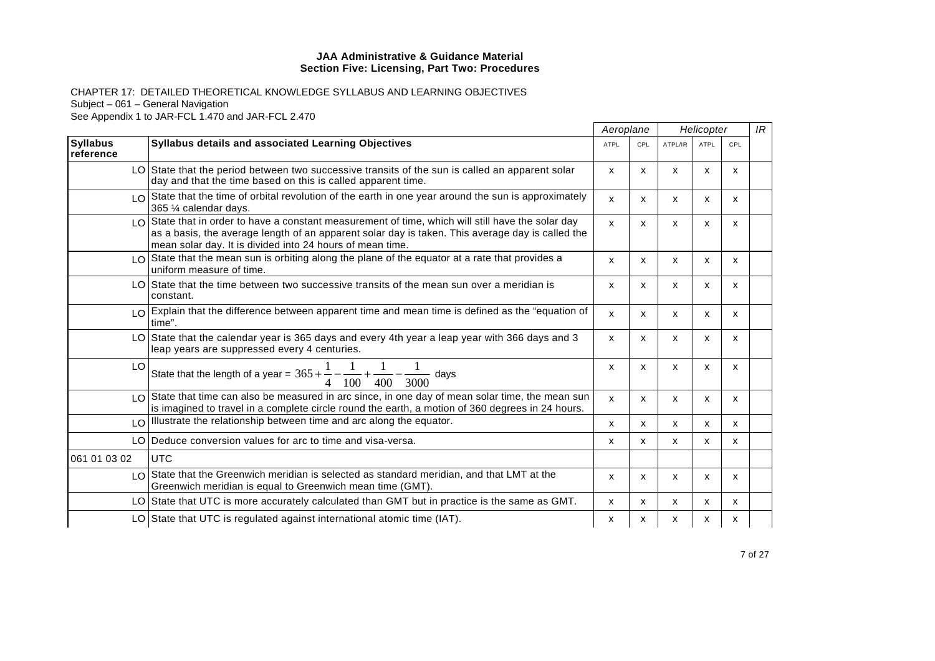|                              |                                                                                                                                                                                                                                                                     |                           | Aeroplane |              | Helicopter |              | IR |
|------------------------------|---------------------------------------------------------------------------------------------------------------------------------------------------------------------------------------------------------------------------------------------------------------------|---------------------------|-----------|--------------|------------|--------------|----|
| <b>Syllabus</b><br>reference | <b>Syllabus details and associated Learning Objectives</b>                                                                                                                                                                                                          | <b>ATPL</b>               | CPL       | ATPL/IR      | ATPL       | CPL          |    |
|                              | LO State that the period between two successive transits of the sun is called an apparent solar<br>day and that the time based on this is called apparent time.                                                                                                     | $\mathsf{x}$              | x         | X            | x          | x            |    |
|                              | $\lfloor 0 \rfloor$ State that the time of orbital revolution of the earth in one year around the sun is approximately<br>365 1/4 calendar days.                                                                                                                    | $\mathsf{x}$              | x         | X            | X          | X            |    |
|                              | LO State that in order to have a constant measurement of time, which will still have the solar day<br>as a basis, the average length of an apparent solar day is taken. This average day is called the<br>mean solar day. It is divided into 24 hours of mean time. | $\mathsf{x}$              | x         | X            | X          | X            |    |
|                              | LO State that the mean sun is orbiting along the plane of the equator at a rate that provides a<br>uniform measure of time.                                                                                                                                         | X                         | x         | X            | x          | x            |    |
|                              | LO State that the time between two successive transits of the mean sun over a meridian is<br>constant.                                                                                                                                                              | $\boldsymbol{\mathsf{x}}$ | x         | X            | X          | $\mathsf{x}$ |    |
|                              | LO Explain that the difference between apparent time and mean time is defined as the "equation of<br>time".                                                                                                                                                         | $\mathsf{x}$              | x         | X            | X          | X            |    |
|                              | LO State that the calendar year is 365 days and every 4th year a leap year with 366 days and 3<br>leap years are suppressed every 4 centuries.                                                                                                                      | X                         | X         | X            | X          | X            |    |
| LO.                          | State that the length of a year = $365 + \frac{1}{2} - \frac{1}{2} + \frac{1}{2}$<br>davs<br>100<br>3000<br>400                                                                                                                                                     | $\boldsymbol{\mathsf{x}}$ | X         | X            | X          | $\mathsf{x}$ |    |
|                              | $\log$ State that time can also be measured in arc since, in one day of mean solar time, the mean sun<br>is imagined to travel in a complete circle round the earth, a motion of 360 degrees in 24 hours.                                                           | $\mathsf{x}$              | X         | X            | x          | x            |    |
|                              | LO Illustrate the relationship between time and arc along the equator.                                                                                                                                                                                              | $\mathsf{x}$              | x         | $\mathsf{x}$ | X          | X            |    |
|                              | LO Deduce conversion values for arc to time and visa-versa.                                                                                                                                                                                                         | $\boldsymbol{\mathsf{x}}$ | x         | X            | X          | x            |    |
| 061 01 03 02                 | <b>UTC</b>                                                                                                                                                                                                                                                          |                           |           |              |            |              |    |
|                              | LO State that the Greenwich meridian is selected as standard meridian, and that LMT at the<br>Greenwich meridian is equal to Greenwich mean time (GMT).                                                                                                             | $\boldsymbol{\mathsf{x}}$ | x         | X            | X          | X            |    |
|                              | LO State that UTC is more accurately calculated than GMT but in practice is the same as GMT.                                                                                                                                                                        | $\boldsymbol{\mathsf{x}}$ | x         | x            | x          | x            |    |
|                              | LO State that UTC is regulated against international atomic time (IAT).                                                                                                                                                                                             | x                         | x         | х            | x          | х            |    |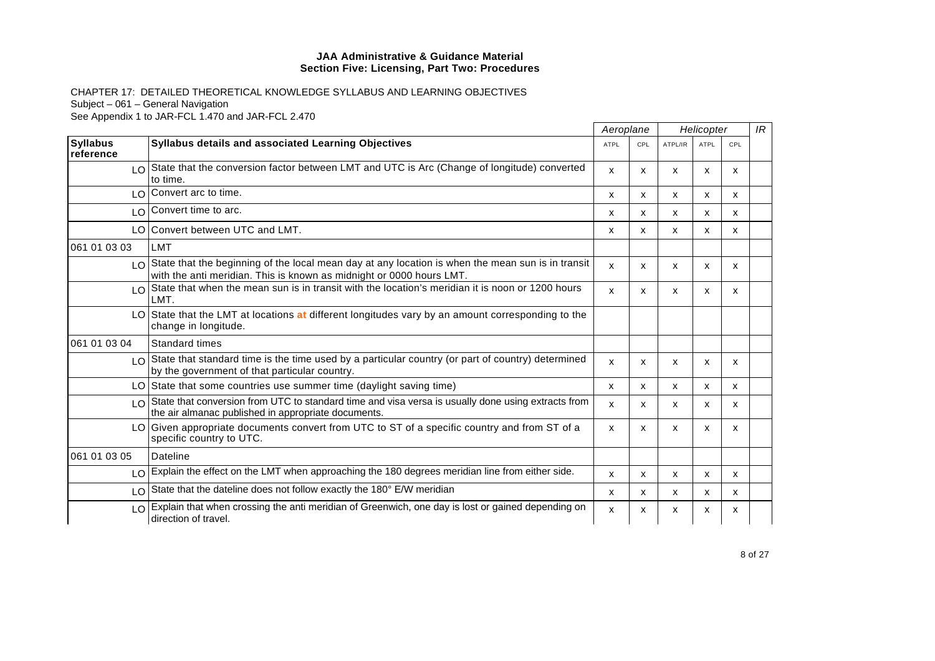|                               |                                                                                                                                                                                  |             | Aeroplane                 |         | Helicopter  |     |  |
|-------------------------------|----------------------------------------------------------------------------------------------------------------------------------------------------------------------------------|-------------|---------------------------|---------|-------------|-----|--|
| <b>Syllabus</b><br>reference  | <b>Syllabus details and associated Learning Objectives</b>                                                                                                                       | <b>ATPL</b> | CPL                       | ATPL/IR | <b>ATPL</b> | CPL |  |
|                               | LO State that the conversion factor between LMT and UTC is Arc (Change of longitude) converted<br>to time.                                                                       | X           | x                         | x       | X           | х   |  |
| $\overline{O}$                | Convert arc to time.                                                                                                                                                             | x           | $\boldsymbol{\mathsf{x}}$ | x       | X           | X   |  |
| $\overline{10}$               | Convert time to arc.                                                                                                                                                             | x           | x                         | x       | X           | X   |  |
|                               | LO Convert between UTC and LMT.                                                                                                                                                  | X           | X                         | X       | X           | X   |  |
| 061 01 03 03                  | LMT                                                                                                                                                                              |             |                           |         |             |     |  |
|                               | $\log$ State that the beginning of the local mean day at any location is when the mean sun is in transit<br>with the anti meridian. This is known as midnight or 0000 hours LMT. | X           | x                         | x       | X           | X   |  |
| $\overline{10}$               | State that when the mean sun is in transit with the location's meridian it is noon or 1200 hours<br>LMT.                                                                         | X           | $\mathsf{x}$              | x       | X           | X   |  |
|                               | LO State that the LMT at locations at different longitudes vary by an amount corresponding to the<br>change in longitude.                                                        |             |                           |         |             |     |  |
| 061 01 03 04                  | Standard times                                                                                                                                                                   |             |                           |         |             |     |  |
|                               | $\log$ State that standard time is the time used by a particular country (or part of country) determined<br>by the government of that particular country.                        | X           | X                         | X       | X           | X   |  |
| LO                            | State that some countries use summer time (daylight saving time)                                                                                                                 | x           | X                         | X       | X           | X   |  |
| $\overline{1}$ $\overline{0}$ | State that conversion from UTC to standard time and visa versa is usually done using extracts from<br>the air almanac published in appropriate documents.                        | X           | $\boldsymbol{\mathsf{x}}$ | x       | x           | x   |  |
|                               | LO Given appropriate documents convert from UTC to ST of a specific country and from ST of a<br>specific country to UTC.                                                         | X           | $\boldsymbol{\mathsf{x}}$ | x       | X           | х   |  |
| 061 01 03 05                  | Dateline                                                                                                                                                                         |             |                           |         |             |     |  |
|                               | LO Explain the effect on the LMT when approaching the 180 degrees meridian line from either side.                                                                                | x           | $\boldsymbol{\mathsf{x}}$ | х       | x           | x   |  |
| $\overline{10}$               | State that the dateline does not follow exactly the 180° E/W meridian                                                                                                            | x           | x                         | x       | x           | x   |  |
| LO                            | Explain that when crossing the anti meridian of Greenwich, one day is lost or gained depending on<br>direction of travel.                                                        | X           | x                         | x       | x           | х   |  |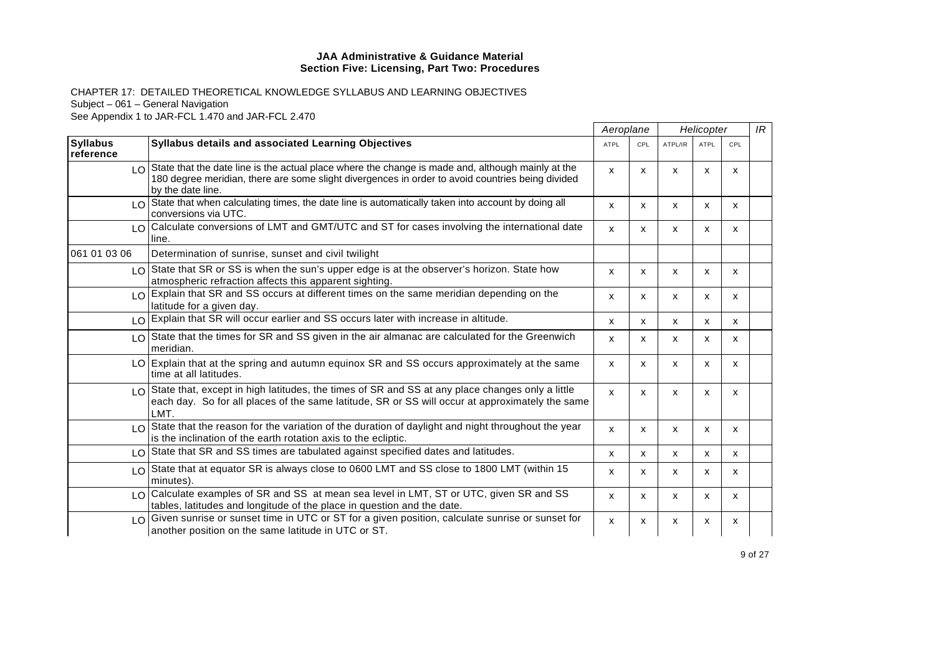|                               |                                                                                                                                                                                                                                | Aeroplane   |              | Helicopter |              |                           | IR |
|-------------------------------|--------------------------------------------------------------------------------------------------------------------------------------------------------------------------------------------------------------------------------|-------------|--------------|------------|--------------|---------------------------|----|
| <b>Syllabus</b><br>reference  | <b>Syllabus details and associated Learning Objectives</b>                                                                                                                                                                     | <b>ATPL</b> | CPL          | ATPL/IR    | <b>ATPL</b>  | CPL                       |    |
|                               | I O State that the date line is the actual place where the change is made and, although mainly at the<br>180 degree meridian, there are some slight divergences in order to avoid countries being divided<br>by the date line. | X           | x            | X          | X            | X                         |    |
|                               | LO State that when calculating times, the date line is automatically taken into account by doing all<br>conversions via UTC.                                                                                                   | X           | X            | X          | X            | X                         |    |
|                               | LO Calculate conversions of LMT and GMT/UTC and ST for cases involving the international date<br>line.                                                                                                                         | x           | X            | X          | X            | X                         |    |
| 061 01 03 06                  | Determination of sunrise, sunset and civil twilight                                                                                                                                                                            |             |              |            |              |                           |    |
|                               | LO State that SR or SS is when the sun's upper edge is at the observer's horizon. State how<br>atmospheric refraction affects this apparent sighting.                                                                          | X           | X            | x          | $\mathsf{x}$ | $\mathsf{x}$              |    |
|                               | <sub>10</sub> Explain that SR and SS occurs at different times on the same meridian depending on the<br>latitude for a given day.                                                                                              | X           | x            | x          | x            | X                         |    |
|                               | LO Explain that SR will occur earlier and SS occurs later with increase in altitude.                                                                                                                                           | x           | $\mathsf{x}$ | X          | $\mathsf{x}$ | X                         |    |
|                               | LO State that the times for SR and SS given in the air almanac are calculated for the Greenwich<br>meridian.                                                                                                                   | X           | X            | X          | X            | X                         |    |
|                               | LO Explain that at the spring and autumn equinox SR and SS occurs approximately at the same<br>time at all latitudes.                                                                                                          | X           | X            | x          | X            | X                         |    |
|                               | $\log$ State that, except in high latitudes, the times of SR and SS at any place changes only a little<br>each day. So for all places of the same latitude, SR or SS will occur at approximately the same<br>LMT.              | x           | X            | X          | X            | $\boldsymbol{\mathsf{x}}$ |    |
| $\overline{1}$ $\overline{0}$ | State that the reason for the variation of the duration of daylight and night throughout the year<br>is the inclination of the earth rotation axis to the ecliptic.                                                            | x           | X            | x          | X            | X                         |    |
|                               | LO State that SR and SS times are tabulated against specified dates and latitudes.                                                                                                                                             | X           | X            | X          | X            | X                         |    |
| LO                            | State that at equator SR is always close to 0600 LMT and SS close to 1800 LMT (within 15<br>minutes).                                                                                                                          | X           | X            | x          | X            | X                         |    |
|                               | LO Calculate examples of SR and SS at mean sea level in LMT, ST or UTC, given SR and SS<br>tables, latitudes and longitude of the place in question and the date.                                                              | x           | X            | X          | x            | X                         |    |
|                               | $\log$ Given sunrise or sunset time in UTC or ST for a given position, calculate sunrise or sunset for<br>another position on the same latitude in UTC or ST.                                                                  | x           | X            | х          | X            | x                         |    |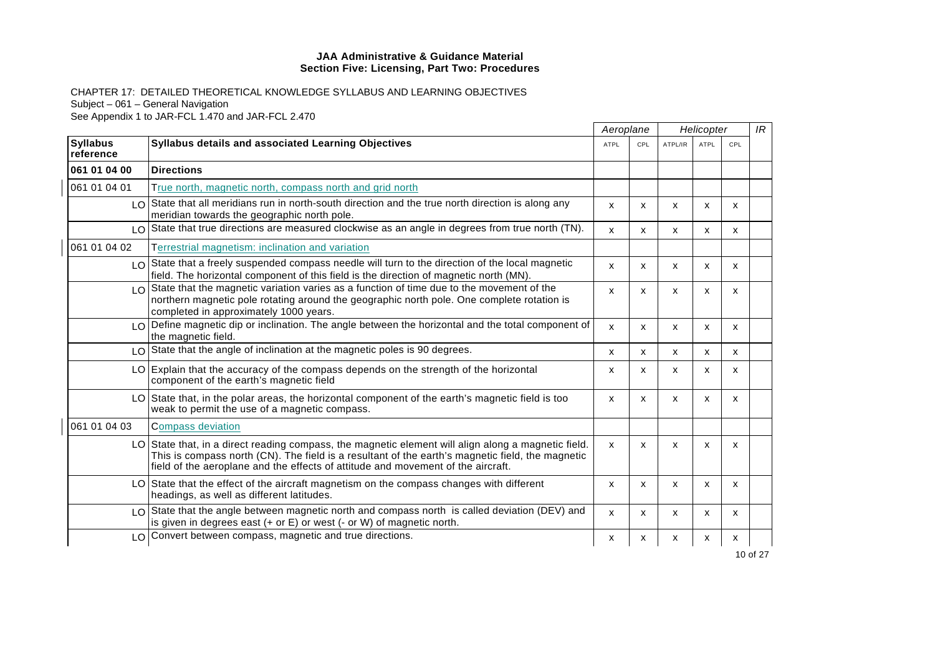|                              |                                                                                                                                                                                                                                                                                             | Aeroplane                 |     | Helicopter |             |     | IR |
|------------------------------|---------------------------------------------------------------------------------------------------------------------------------------------------------------------------------------------------------------------------------------------------------------------------------------------|---------------------------|-----|------------|-------------|-----|----|
| <b>Syllabus</b><br>reference | Syllabus details and associated Learning Objectives                                                                                                                                                                                                                                         | <b>ATPL</b>               | CPL | ATPL/IR    | <b>ATPL</b> | CPL |    |
| 061 01 04 00                 | <b>Directions</b>                                                                                                                                                                                                                                                                           |                           |     |            |             |     |    |
| 061 01 04 01                 | True north, magnetic north, compass north and grid north                                                                                                                                                                                                                                    |                           |     |            |             |     |    |
|                              | LO State that all meridians run in north-south direction and the true north direction is along any<br>meridian towards the geographic north pole.                                                                                                                                           | $\mathsf{x}$              | x   | X          | x           | X   |    |
|                              | LO State that true directions are measured clockwise as an angle in degrees from true north (TN).                                                                                                                                                                                           | X                         | X   | X          | X           | X   |    |
| 061 01 04 02                 | Terrestrial magnetism: inclination and variation                                                                                                                                                                                                                                            |                           |     |            |             |     |    |
|                              | $\log$ State that a freely suspended compass needle will turn to the direction of the local magnetic<br>field. The horizontal component of this field is the direction of magnetic north (MN).                                                                                              | $\mathsf{x}$              | x   | X          | x           | X   |    |
|                              | $LO$ State that the magnetic variation varies as a function of time due to the movement of the<br>northern magnetic pole rotating around the geographic north pole. One complete rotation is<br>completed in approximately 1000 years.                                                      | X                         | X   | X          | x           | X   |    |
|                              | $\log$ Define magnetic dip or inclination. The angle between the horizontal and the total component of<br>the magnetic field.                                                                                                                                                               | $\boldsymbol{\mathsf{x}}$ | x   | x          | x           | x   |    |
|                              | $LO$ State that the angle of inclination at the magnetic poles is 90 degrees.                                                                                                                                                                                                               | X                         | X   | X          | x           | x   |    |
|                              | LO Explain that the accuracy of the compass depends on the strength of the horizontal<br>component of the earth's magnetic field                                                                                                                                                            | X                         | X   | X          | x           | x   |    |
|                              | LO State that, in the polar areas, the horizontal component of the earth's magnetic field is too<br>weak to permit the use of a magnetic compass.                                                                                                                                           | $\mathsf{x}$              | x   | X          | x           | X   |    |
| 061 01 04 03                 | <b>Compass deviation</b>                                                                                                                                                                                                                                                                    |                           |     |            |             |     |    |
|                              | LO State that, in a direct reading compass, the magnetic element will align along a magnetic field.<br>This is compass north (CN). The field is a resultant of the earth's magnetic field, the magnetic<br>field of the aeroplane and the effects of attitude and movement of the aircraft. | $\mathsf{x}$              | X   | X          | X           | X   |    |
|                              | LO State that the effect of the aircraft magnetism on the compass changes with different<br>headings, as well as different latitudes.                                                                                                                                                       | X                         | X   | X          | X           | X   |    |
|                              | LO State that the angle between magnetic north and compass north is called deviation (DEV) and<br>is given in degrees east $(+)$ or $E$ ) or west $(-$ or W) of magnetic north.                                                                                                             | $\mathsf{x}$              | x   | x          | X           | x   |    |
|                              | LO Convert between compass, magnetic and true directions.                                                                                                                                                                                                                                   | x                         | x   | х          | x           | x   |    |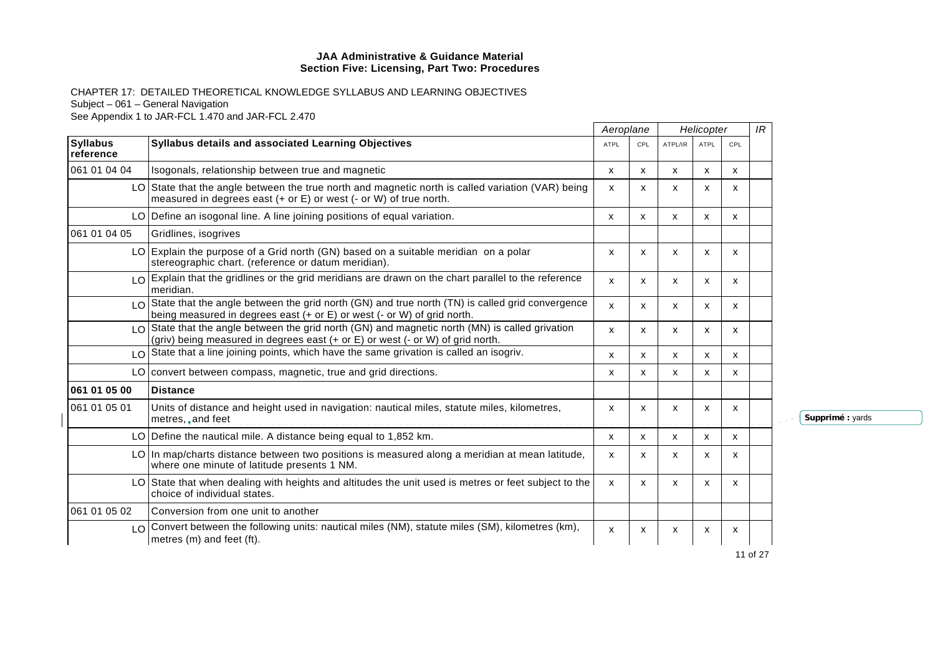CHAPTER 17: DETAILED THEORETICAL KNOWLEDGE SYLLABUS AND LEARNING OBJECTIVES Subject – 061 – General Navigation See Appendix 1 to JAR-FCL 1.470 and JAR-FCL 2.470

|                              |                                                                                                                                                                                   | Aeroplane    |              | Helicopter |             |              | IR |
|------------------------------|-----------------------------------------------------------------------------------------------------------------------------------------------------------------------------------|--------------|--------------|------------|-------------|--------------|----|
| <b>Syllabus</b><br>reference | <b>Syllabus details and associated Learning Objectives</b>                                                                                                                        | <b>ATPL</b>  | CPL          | ATPL/IR    | <b>ATPL</b> | CPL          |    |
| 061 01 04 04                 | Isogonals, relationship between true and magnetic                                                                                                                                 | x            | X            | X          | x           | x            |    |
|                              | LO State that the angle between the true north and magnetic north is called variation (VAR) being<br>measured in degrees east $(+)$ or $E$ ) or west $(-$ or W) of true north.    | x            | x            | x          | X           | x            |    |
|                              | LO Define an isogonal line. A line joining positions of equal variation.                                                                                                          | $\mathsf{x}$ | X            | x          | X           | X            |    |
| 061 01 04 05                 | Gridlines, isogrives                                                                                                                                                              |              |              |            |             |              |    |
|                              | $LO$ Explain the purpose of a Grid north (GN) based on a suitable meridian on a polar<br>stereographic chart. (reference or datum meridian).                                      | $\mathsf{x}$ | X            | X          | X           | x            |    |
|                              | LO Explain that the gridlines or the grid meridians are drawn on the chart parallel to the reference<br>meridian.                                                                 | $\mathsf{x}$ | X            | X          | x           | x            |    |
|                              | LO State that the angle between the grid north (GN) and true north (TN) is called grid convergence<br>being measured in degrees east (+ or E) or west (- or W) of grid north.     | x            | x            | X          | x           | x            |    |
|                              | LO State that the angle between the grid north (GN) and magnetic north (MN) is called grivation<br>(griv) being measured in degrees east (+ or E) or west (- or W) of grid north. | X            | x            | X          | x           | x            |    |
|                              | LO State that a line joining points, which have the same grivation is called an isogriv.                                                                                          | $\mathsf{x}$ | $\mathsf{x}$ | X          | X           | $\mathsf{x}$ |    |
|                              | LO convert between compass, magnetic, true and grid directions.                                                                                                                   | X            | X            | X          | X           | x            |    |
| 061 01 05 00                 | <b>Distance</b>                                                                                                                                                                   |              |              |            |             |              |    |
| 061 01 05 01                 | Units of distance and height used in navigation: nautical miles, statute miles, kilometres,<br>metres, and feet                                                                   | X            | x            | x          | X           | X            |    |
|                              | LO Define the nautical mile. A distance being equal to 1,852 km.                                                                                                                  | X            | X            | X          | X           | X            |    |
|                              | LO In map/charts distance between two positions is measured along a meridian at mean latitude,<br>where one minute of latitude presents 1 NM.                                     | X            | x            | x          | x           | x            |    |
|                              | LO State that when dealing with heights and altitudes the unit used is metres or feet subject to the<br>choice of individual states.                                              | $\mathsf{x}$ | x            | X          | x           | x            |    |
| 061 01 05 02                 | Conversion from one unit to another                                                                                                                                               |              |              |            |             |              |    |
|                              | LO Convert between the following units: nautical miles (NM), statute miles (SM), kilometres (km),<br>metres (m) and feet (ft).                                                    | X            | x            | X          | x           | X            |    |

**Supprimé :** yards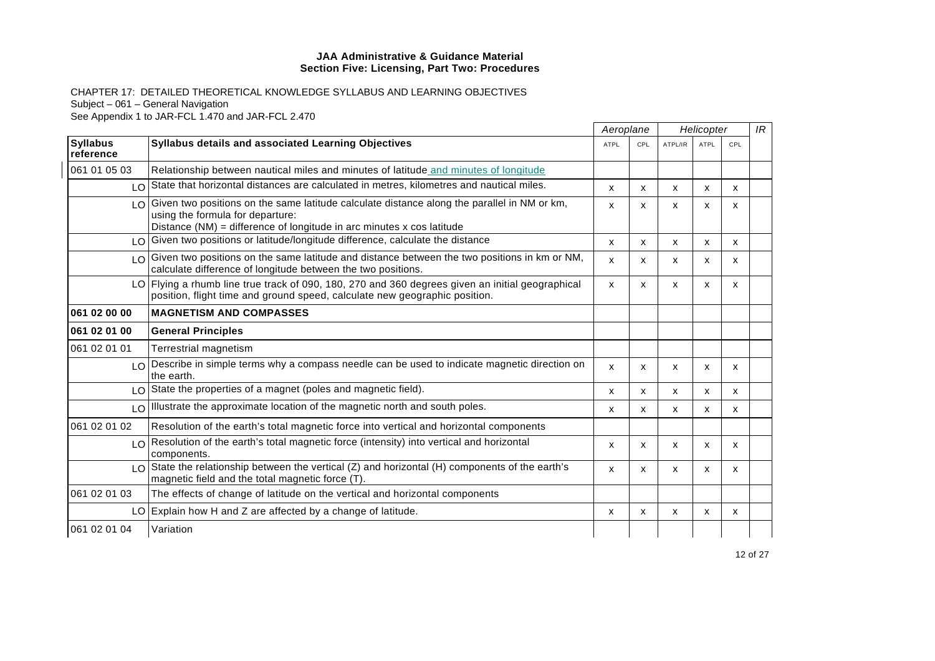|                              |                                                                                                                                                                                                            |                           | Aeroplane |                           | Helicopter  |     | IR |
|------------------------------|------------------------------------------------------------------------------------------------------------------------------------------------------------------------------------------------------------|---------------------------|-----------|---------------------------|-------------|-----|----|
| <b>Syllabus</b><br>reference | <b>Syllabus details and associated Learning Objectives</b>                                                                                                                                                 | <b>ATPL</b>               | CPL       | ATPL/IR                   | <b>ATPL</b> | CPL |    |
| 061 01 05 03                 | Relationship between nautical miles and minutes of latitude and minutes of longitude                                                                                                                       |                           |           |                           |             |     |    |
|                              | LO State that horizontal distances are calculated in metres, kilometres and nautical miles.                                                                                                                | $\mathsf{x}$              | X         | X                         | X           | x   |    |
| LOI                          | Given two positions on the same latitude calculate distance along the parallel in NM or km,<br>using the formula for departure:<br>Distance $(NM)$ = difference of longitude in arc minutes x cos latitude | x                         | x         | X                         | X           | x   |    |
|                              | LO Given two positions or latitude/longitude difference, calculate the distance                                                                                                                            | x                         | X         | X                         | x           | X   |    |
|                              | LO Given two positions on the same latitude and distance between the two positions in km or NM,<br>calculate difference of longitude between the two positions.                                            | $\boldsymbol{\mathsf{x}}$ | x         | $\boldsymbol{\mathsf{x}}$ | x           | x   |    |
|                              | LO Flying a rhumb line true track of 090, 180, 270 and 360 degrees given an initial geographical<br>position, flight time and ground speed, calculate new geographic position.                             | $\mathsf{x}$              | x         | X                         | X           | X   |    |
| 061 02 00 00                 | <b>MAGNETISM AND COMPASSES</b>                                                                                                                                                                             |                           |           |                           |             |     |    |
| 061 02 01 00                 | <b>General Principles</b>                                                                                                                                                                                  |                           |           |                           |             |     |    |
| 061 02 01 01                 | Terrestrial magnetism                                                                                                                                                                                      |                           |           |                           |             |     |    |
|                              | LO Describe in simple terms why a compass needle can be used to indicate magnetic direction on<br>the earth.                                                                                               | $\mathsf{x}$              | x         | X                         | X           | X   |    |
|                              | $\log$ State the properties of a magnet (poles and magnetic field).                                                                                                                                        | x                         | x         | x                         | x           | x   |    |
|                              | LO Illustrate the approximate location of the magnetic north and south poles.                                                                                                                              | x                         | x         | х                         | x           | x   |    |
| 061 02 01 02                 | Resolution of the earth's total magnetic force into vertical and horizontal components                                                                                                                     |                           |           |                           |             |     |    |
|                              | LO Resolution of the earth's total magnetic force (intensity) into vertical and horizontal<br>components.                                                                                                  | $\boldsymbol{\mathsf{x}}$ | x         | X                         | X           | X   |    |
|                              | $LO$ State the relationship between the vertical (Z) and horizontal (H) components of the earth's<br>magnetic field and the total magnetic force (T).                                                      | x                         | X         | X                         | X           | X   |    |
| 061 02 01 03                 | The effects of change of latitude on the vertical and horizontal components                                                                                                                                |                           |           |                           |             |     |    |
|                              | LO Explain how H and Z are affected by a change of latitude.                                                                                                                                               | $\boldsymbol{\mathsf{x}}$ | X         | X                         | X           | X   |    |
| 061 02 01 04                 | Variation                                                                                                                                                                                                  |                           |           |                           |             |     |    |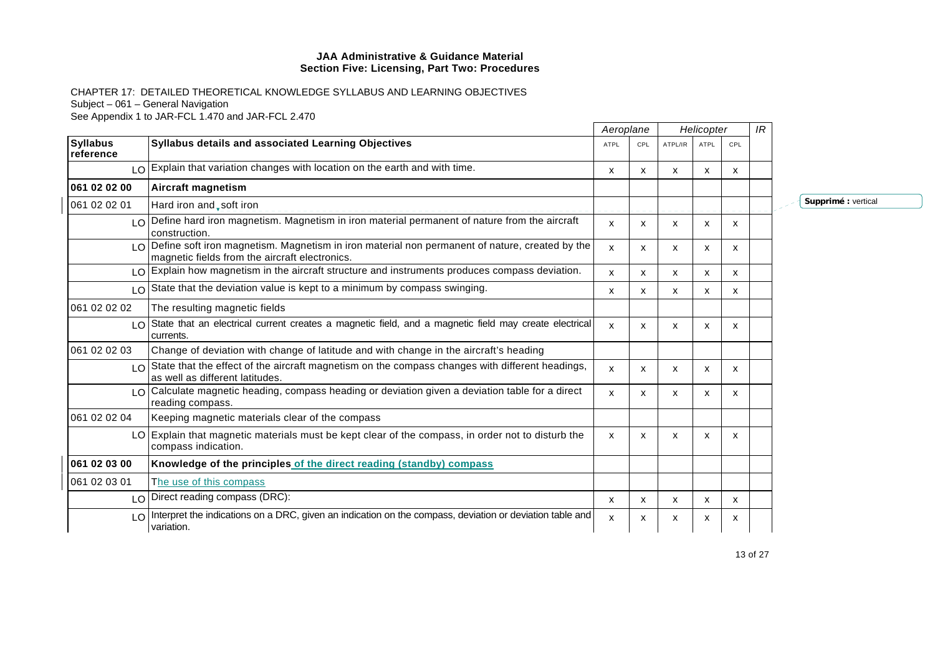CHAPTER 17: DETAILED THEORETICAL KNOWLEDGE SYLLABUS AND LEARNING OBJECTIVES Subject – 061 – General Navigation See Appendix 1 to JAR-FCL 1.470 and JAR-FCL 2.470

|                               |                                                                                                                                                  | Aeroplane   |     |         | Helicopter  |     | IR |     |
|-------------------------------|--------------------------------------------------------------------------------------------------------------------------------------------------|-------------|-----|---------|-------------|-----|----|-----|
| <b>Syllabus</b><br>reference  | Syllabus details and associated Learning Objectives                                                                                              | <b>ATPL</b> | CPL | ATPL/IR | <b>ATPL</b> | CPL |    |     |
| $\overline{10}$               | Explain that variation changes with location on the earth and with time.                                                                         | X           | X   | x       | X           | х   |    |     |
| 061 02 02 00                  | Aircraft magnetism                                                                                                                               |             |     |         |             |     |    |     |
| 061 02 02 01                  | Hard iron and, soft iron                                                                                                                         |             |     |         |             |     |    | Sup |
| $\overline{1}$ $\overline{O}$ | Define hard iron magnetism. Magnetism in iron material permanent of nature from the aircraft<br>construction.                                    | X           | X   | x       | x           | X   |    |     |
| $\overline{10}$               | Define soft iron magnetism. Magnetism in iron material non permanent of nature, created by the<br>magnetic fields from the aircraft electronics. | X           | X   | x       | x           | x   |    |     |
|                               | LO Explain how magnetism in the aircraft structure and instruments produces compass deviation.                                                   | x           | X   | x       | X           | X   |    |     |
| LO                            | State that the deviation value is kept to a minimum by compass swinging.                                                                         | x           | X   | x       | X           | X   |    |     |
| 061 02 02 02                  | The resulting magnetic fields                                                                                                                    |             |     |         |             |     |    |     |
| LO.                           | State that an electrical current creates a magnetic field, and a magnetic field may create electrical<br>currents.                               | X           | X   | x       | X           | x   |    |     |
| 061 02 02 03                  | Change of deviation with change of latitude and with change in the aircraft's heading                                                            |             |     |         |             |     |    |     |
| LO.                           | State that the effect of the aircraft magnetism on the compass changes with different headings,<br>as well as different latitudes.               | X           | X   | x       | X           | X   |    |     |
| LO.                           | Calculate magnetic heading, compass heading or deviation given a deviation table for a direct<br>reading compass.                                | x           | X   | x       | x           | x   |    |     |
| 061 02 02 04                  | Keeping magnetic materials clear of the compass                                                                                                  |             |     |         |             |     |    |     |
|                               | LO Explain that magnetic materials must be kept clear of the compass, in order not to disturb the<br>compass indication.                         | X           | X   | X       | X           | x   |    |     |
| 061 02 03 00                  | Knowledge of the principles of the direct reading (standby) compass                                                                              |             |     |         |             |     |    |     |
| 061 02 03 01                  | The use of this compass                                                                                                                          |             |     |         |             |     |    |     |
| LO                            | Direct reading compass (DRC):                                                                                                                    | x           | X   | X       | X           | x   |    |     |
| $\overline{1}$ $\overline{O}$ | Interpret the indications on a DRC, given an indication on the compass, deviation or deviation table and<br>variation.                           | X           | x   | х       | х           | х   |    |     |

**Supprimé :** vertical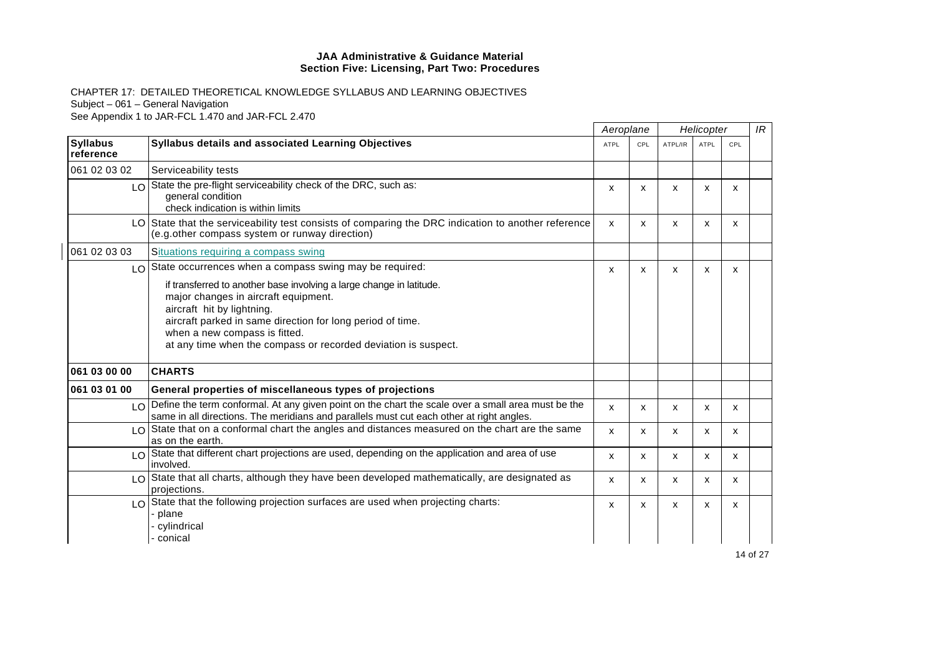|                                              |                                                                                                                                                                                                                                                                                                             |                           | Aeroplane |         | Helicopter                |     |  |
|----------------------------------------------|-------------------------------------------------------------------------------------------------------------------------------------------------------------------------------------------------------------------------------------------------------------------------------------------------------------|---------------------------|-----------|---------|---------------------------|-----|--|
| <b>Syllabus</b><br>reference                 | <b>Syllabus details and associated Learning Objectives</b>                                                                                                                                                                                                                                                  | <b>ATPL</b>               | CPL       | ATPL/IR | <b>ATPL</b>               | CPL |  |
| 061 02 03 02                                 | Serviceability tests                                                                                                                                                                                                                                                                                        |                           |           |         |                           |     |  |
| LOI                                          | State the pre-flight serviceability check of the DRC, such as:<br>general condition<br>check indication is within limits                                                                                                                                                                                    | $\mathsf{x}$              | x         | X       | X                         | x   |  |
| LO I                                         | State that the serviceability test consists of comparing the DRC indication to another reference<br>(e.g.other compass system or runway direction)                                                                                                                                                          | $\boldsymbol{\mathsf{x}}$ | x         | X       | X                         | X   |  |
| 061 02 03 03                                 | Situations requiring a compass swing                                                                                                                                                                                                                                                                        |                           |           |         |                           |     |  |
| LO.                                          | State occurrences when a compass swing may be required:                                                                                                                                                                                                                                                     | X                         | X         | X       | X                         | X   |  |
|                                              | if transferred to another base involving a large change in latitude.<br>major changes in aircraft equipment.<br>aircraft hit by lightning.<br>aircraft parked in same direction for long period of time.<br>when a new compass is fitted.<br>at any time when the compass or recorded deviation is suspect. |                           |           |         |                           |     |  |
| 061 03 00 00                                 | <b>CHARTS</b>                                                                                                                                                                                                                                                                                               |                           |           |         |                           |     |  |
| 061 03 01 00                                 | General properties of miscellaneous types of projections                                                                                                                                                                                                                                                    |                           |           |         |                           |     |  |
| $\overline{1}$ $\overline{0}$ $\overline{1}$ | Define the term conformal. At any given point on the chart the scale over a small area must be the<br>same in all directions. The meridians and parallels must cut each other at right angles.                                                                                                              | X                         | x         | X       | $\boldsymbol{\mathsf{x}}$ | X   |  |
| LO                                           | State that on a conformal chart the angles and distances measured on the chart are the same<br>as on the earth.                                                                                                                                                                                             | X                         | X         | x       | X                         | X   |  |
| LO.                                          | State that different chart projections are used, depending on the application and area of use<br>involved.                                                                                                                                                                                                  | X                         | x         | X       | $\boldsymbol{\mathsf{x}}$ | X   |  |
|                                              | LO State that all charts, although they have been developed mathematically, are designated as<br>projections.                                                                                                                                                                                               | X                         | X         | X       | X                         | X   |  |
| LO                                           | State that the following projection surfaces are used when projecting charts:<br>- plane<br>- cylindrical<br>- conical                                                                                                                                                                                      | X                         | x         | х       | X                         | x   |  |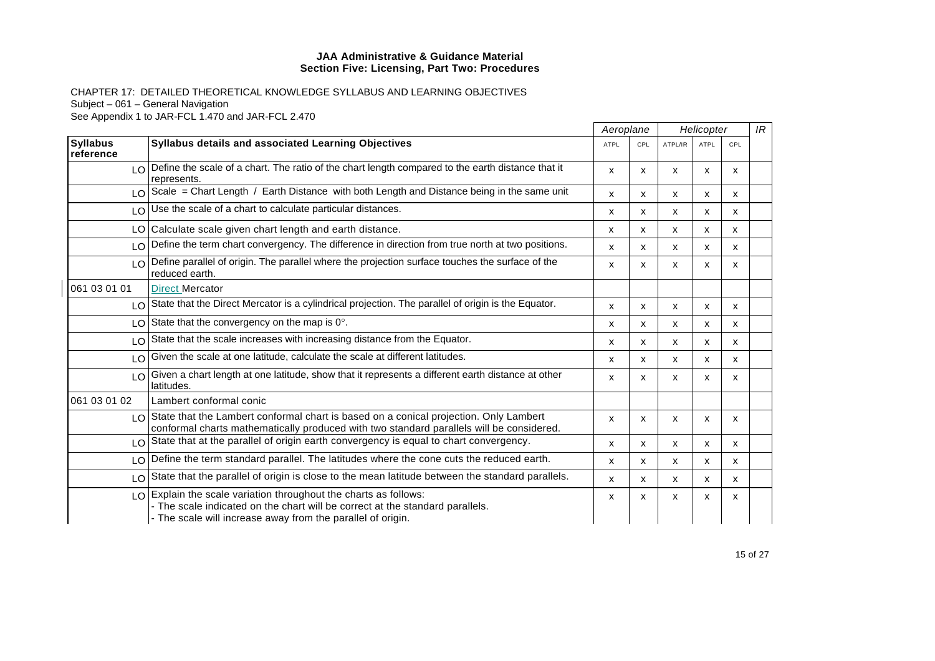|                               |                                                                                                                                                                                                                  | Aeroplane                 |     | Helicopter                |             |     | IR |
|-------------------------------|------------------------------------------------------------------------------------------------------------------------------------------------------------------------------------------------------------------|---------------------------|-----|---------------------------|-------------|-----|----|
| <b>Syllabus</b><br>reference  | <b>Syllabus details and associated Learning Objectives</b>                                                                                                                                                       | <b>ATPL</b>               | CPL | ATPL/IR                   | <b>ATPL</b> | CPL |    |
|                               | LO Define the scale of a chart. The ratio of the chart length compared to the earth distance that it<br>represents.                                                                                              | X                         | x   | X                         | x           | x   |    |
|                               | LO Scale = Chart Length / Earth Distance with both Length and Distance being in the same unit                                                                                                                    | x                         | X   | X                         | X           | X   |    |
|                               | $LO$ Use the scale of a chart to calculate particular distances.                                                                                                                                                 | x                         | x   | X                         | x           | x   |    |
|                               | LO Calculate scale given chart length and earth distance.                                                                                                                                                        | $\boldsymbol{\mathsf{x}}$ | x   | X                         | X           | X   |    |
| $\overline{10}$               | Define the term chart convergency. The difference in direction from true north at two positions.                                                                                                                 | X                         | x   | X                         | x           | x   |    |
| $\overline{1}$ $\overline{0}$ | Define parallel of origin. The parallel where the projection surface touches the surface of the<br>reduced earth.                                                                                                | x                         | x   | X                         | x           | x   |    |
| 061 03 01 01                  | <b>Direct Mercator</b>                                                                                                                                                                                           |                           |     |                           |             |     |    |
|                               | LO State that the Direct Mercator is a cylindrical projection. The parallel of origin is the Equator.                                                                                                            | $\boldsymbol{\mathsf{x}}$ | x   | X                         | x           | x   |    |
|                               | $LO$ State that the convergency on the map is $0^\circ$ .                                                                                                                                                        | x                         | x   | х                         | x           | X   |    |
| $\overline{10}$               | State that the scale increases with increasing distance from the Equator.                                                                                                                                        | x                         | x   | $\boldsymbol{\mathsf{x}}$ | x           | X   |    |
| $\overline{10}$               | Given the scale at one latitude, calculate the scale at different latitudes.                                                                                                                                     | X                         | x   | X                         | x           | x   |    |
| LO                            | Given a chart length at one latitude, show that it represents a different earth distance at other<br>latitudes.                                                                                                  | X                         | x   | X                         | x           | x   |    |
| 061 03 01 02                  | Lambert conformal conic                                                                                                                                                                                          |                           |     |                           |             |     |    |
|                               | I O State that the Lambert conformal chart is based on a conical projection. Only Lambert<br>conformal charts mathematically produced with two standard parallels will be considered.                            | $\boldsymbol{\mathsf{x}}$ | x   | X                         | X           | X   |    |
| LO                            | State that at the parallel of origin earth convergency is equal to chart convergency.                                                                                                                            | x                         | X   | $\boldsymbol{\mathsf{x}}$ | x           | X   |    |
|                               | LO Define the term standard parallel. The latitudes where the cone cuts the reduced earth.                                                                                                                       | X                         | x   | X                         | x           | X   |    |
| $\overline{10}$               | State that the parallel of origin is close to the mean latitude between the standard parallels.                                                                                                                  | X                         | x   | $\boldsymbol{\mathsf{x}}$ | X           | X   |    |
|                               | LO Explain the scale variation throughout the charts as follows:<br>- The scale indicated on the chart will be correct at the standard parallels.<br>- The scale will increase away from the parallel of origin. | X                         | x   | X                         | X           | X   |    |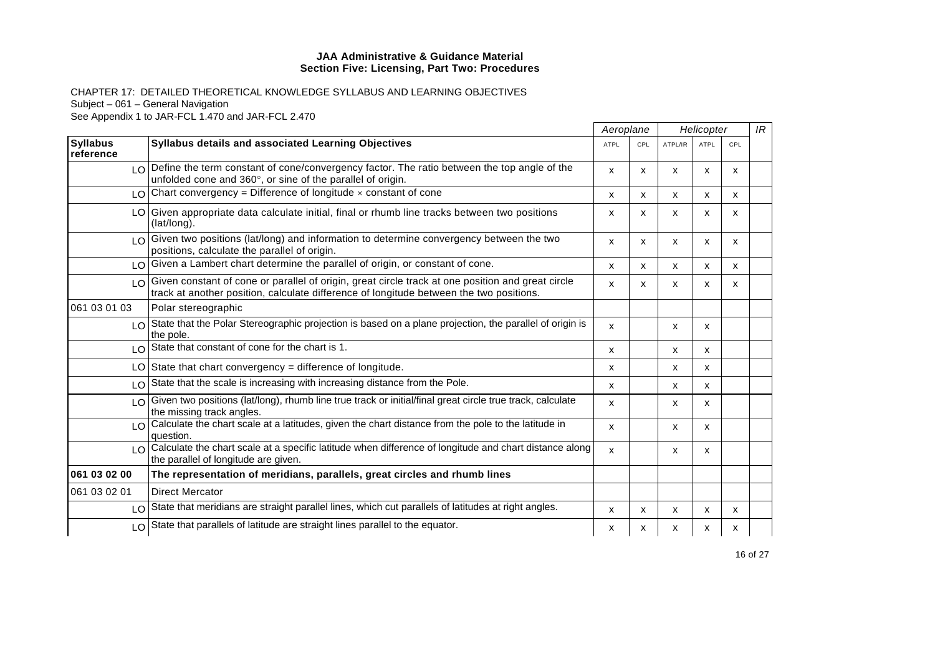|                              |                                                                                                                                                                                                 | Aeroplane                 |     | Helicopter |             |     | IR |
|------------------------------|-------------------------------------------------------------------------------------------------------------------------------------------------------------------------------------------------|---------------------------|-----|------------|-------------|-----|----|
| <b>Syllabus</b><br>reference | Syllabus details and associated Learning Objectives                                                                                                                                             | ATPL                      | CPL | ATPL/IR    | <b>ATPL</b> | CPL |    |
|                              | LO Define the term constant of cone/convergency factor. The ratio between the top angle of the<br>unfolded cone and 360°, or sine of the parallel of origin.                                    | X                         | x   | X          | x           | x   |    |
|                              | $LO$ Chart convergency = Difference of longitude $\times$ constant of cone                                                                                                                      | $\mathsf{x}$              | x   | X          | X           | X   |    |
|                              | LO Given appropriate data calculate initial, final or rhumb line tracks between two positions<br>(lat/long).                                                                                    | X                         | x   | X          | x           | x   |    |
|                              | LO Given two positions (lat/long) and information to determine convergency between the two<br>positions, calculate the parallel of origin.                                                      | $\boldsymbol{\mathsf{x}}$ | X   | X          | X           | X   |    |
|                              | LO Given a Lambert chart determine the parallel of origin, or constant of cone.                                                                                                                 | X                         | X   | X          | x           | X   |    |
|                              | LO Given constant of cone or parallel of origin, great circle track at one position and great circle<br>track at another position, calculate difference of longitude between the two positions. | X                         | x   | X          | X           | X   |    |
| 061 03 01 03                 | Polar stereographic                                                                                                                                                                             |                           |     |            |             |     |    |
|                              | LO State that the Polar Stereographic projection is based on a plane projection, the parallel of origin is<br>the pole.                                                                         | X                         |     | X          | x           |     |    |
|                              | LO State that constant of cone for the chart is 1.                                                                                                                                              | $\boldsymbol{\mathsf{x}}$ |     | X          | X           |     |    |
|                              | $LO$ State that chart convergency = difference of longitude.                                                                                                                                    | $\mathsf{x}$              |     | X          | x           |     |    |
|                              | LO State that the scale is increasing with increasing distance from the Pole.                                                                                                                   | X                         |     | х          | x           |     |    |
|                              | LO Given two positions (lat/long), rhumb line true track or initial/final great circle true track, calculate<br>the missing track angles.                                                       | X                         |     | X          | x           |     |    |
|                              | LO Calculate the chart scale at a latitudes, given the chart distance from the pole to the latitude in<br>question.                                                                             | X                         |     | X          | x           |     |    |
|                              | LO Calculate the chart scale at a specific latitude when difference of longitude and chart distance along<br>the parallel of longitude are given.                                               | $\mathsf{x}$              |     | X          | x           |     |    |
| 061 03 02 00                 | The representation of meridians, parallels, great circles and rhumb lines                                                                                                                       |                           |     |            |             |     |    |
| 061 03 02 01                 | <b>Direct Mercator</b>                                                                                                                                                                          |                           |     |            |             |     |    |
|                              | LO State that meridians are straight parallel lines, which cut parallels of latitudes at right angles.                                                                                          | X                         | X   | X          | X           | X   |    |
|                              | LO State that parallels of latitude are straight lines parallel to the equator.                                                                                                                 | x                         | х   | х          | х           | х   |    |
|                              |                                                                                                                                                                                                 |                           |     |            |             |     |    |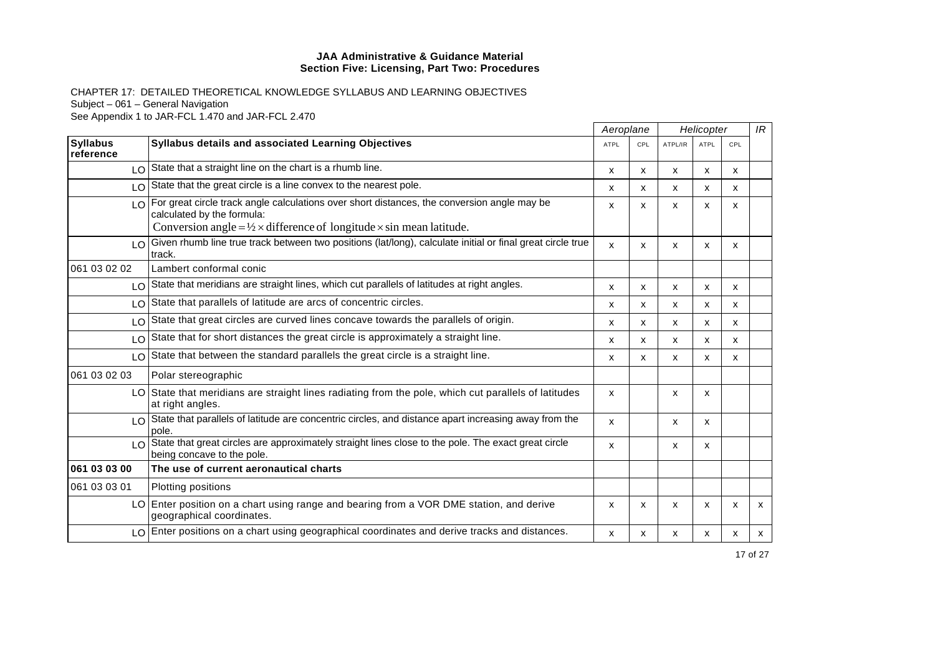|                               |                                                                                                                                   | Aeroplane                 |     |                           |             | Helicopter |   |  | IR |
|-------------------------------|-----------------------------------------------------------------------------------------------------------------------------------|---------------------------|-----|---------------------------|-------------|------------|---|--|----|
| <b>Syllabus</b><br>reference  | Syllabus details and associated Learning Objectives                                                                               | <b>ATPL</b>               | CPL | ATPL/IR                   | <b>ATPL</b> | CPL        |   |  |    |
|                               | $\log$ State that a straight line on the chart is a rhumb line.                                                                   | $\mathsf{x}$              | x   | x                         | x           | x          |   |  |    |
|                               | $\log$ State that the great circle is a line convex to the nearest pole.                                                          | X                         | x   | X                         | x           | x          |   |  |    |
|                               | I O For great circle track angle calculations over short distances, the conversion angle may be<br>calculated by the formula:     | X                         | X   | $\boldsymbol{\mathsf{x}}$ | X           | X          |   |  |    |
|                               | Conversion angle = $\frac{1}{2} \times$ difference of longitude $\times$ sin mean latitude.                                       |                           |     |                           |             |            |   |  |    |
| LOI                           | Given rhumb line true track between two positions (lat/long), calculate initial or final great circle true<br>track.              | $\mathsf{x}$              | X   | X                         | X           | X          |   |  |    |
| 061 03 02 02                  | Lambert conformal conic                                                                                                           |                           |     |                           |             |            |   |  |    |
|                               | $\log$ State that meridians are straight lines, which cut parallels of latitudes at right angles.                                 | $\mathsf{x}$              | X   | X                         | x           | X          |   |  |    |
|                               | LO State that parallels of latitude are arcs of concentric circles.                                                               | x                         | x   | x                         | X           | x          |   |  |    |
| LO I                          | State that great circles are curved lines concave towards the parallels of origin.                                                | X                         | X   | X                         | X           | X          |   |  |    |
| LO                            | State that for short distances the great circle is approximately a straight line.                                                 | X                         | X   | X                         | x           | X          |   |  |    |
|                               | LO State that between the standard parallels the great circle is a straight line.                                                 | X                         | x   | X                         | x           | x          |   |  |    |
| 061 03 02 03                  | Polar stereographic                                                                                                               |                           |     |                           |             |            |   |  |    |
|                               | LO State that meridians are straight lines radiating from the pole, which cut parallels of latitudes<br>at right angles.          | $\boldsymbol{\mathsf{x}}$ |     | X                         | X           |            |   |  |    |
|                               | LO State that parallels of latitude are concentric circles, and distance apart increasing away from the<br>pole.                  | $\mathsf{x}$              |     | x                         | x           |            |   |  |    |
| $\overline{1}$ $\overline{O}$ | State that great circles are approximately straight lines close to the pole. The exact great circle<br>being concave to the pole. | X                         |     | x                         | X           |            |   |  |    |
| 061 03 03 00                  | The use of current aeronautical charts                                                                                            |                           |     |                           |             |            |   |  |    |
| 061 03 03 01                  | Plotting positions                                                                                                                |                           |     |                           |             |            |   |  |    |
|                               | LO Enter position on a chart using range and bearing from a VOR DME station, and derive<br>geographical coordinates.              | X                         | X   | X                         | X           | X          | X |  |    |
| LO                            | Enter positions on a chart using geographical coordinates and derive tracks and distances.                                        | X                         | x   | x                         | x           | x          | X |  |    |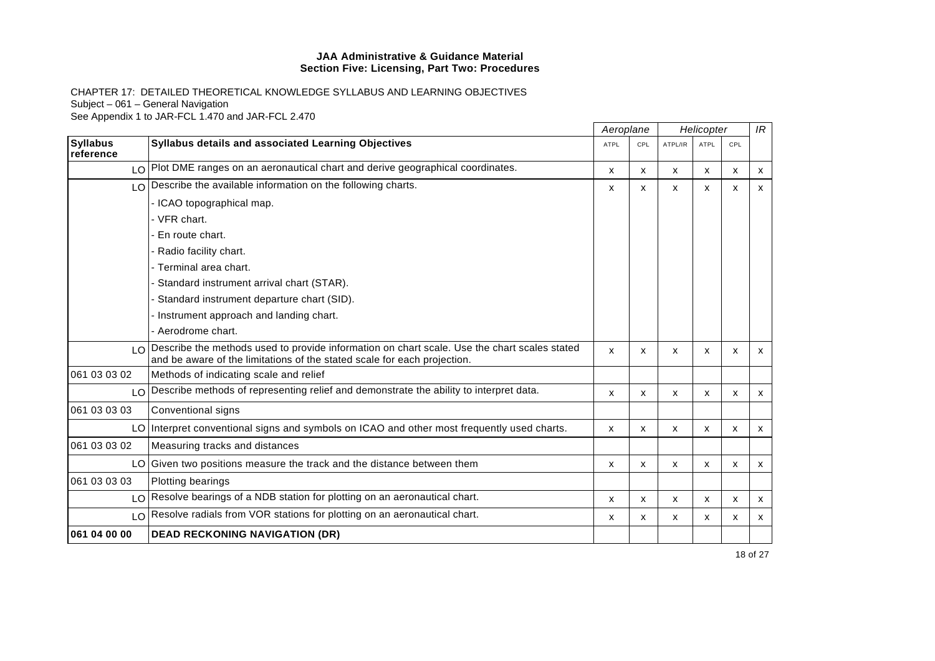|                              |                                                                                                                                                                          | Aeroplane   |     | Helicopter |             |                           | IR           |
|------------------------------|--------------------------------------------------------------------------------------------------------------------------------------------------------------------------|-------------|-----|------------|-------------|---------------------------|--------------|
| <b>Syllabus</b><br>reference | Syllabus details and associated Learning Objectives                                                                                                                      | <b>ATPL</b> | CPL | ATPL/IR    | <b>ATPL</b> | CPL                       |              |
|                              | $\log$ Plot DME ranges on an aeronautical chart and derive geographical coordinates.                                                                                     | X           | X   | x          | X           | $\boldsymbol{\mathsf{x}}$ | $\mathsf{x}$ |
|                              | $\lfloor 0 \rfloor$ Describe the available information on the following charts.                                                                                          | х           | x   | x          | x           | X                         | X            |
|                              | - ICAO topographical map.                                                                                                                                                |             |     |            |             |                           |              |
|                              | - VFR chart.                                                                                                                                                             |             |     |            |             |                           |              |
|                              | - En route chart.                                                                                                                                                        |             |     |            |             |                           |              |
|                              | - Radio facility chart.                                                                                                                                                  |             |     |            |             |                           |              |
|                              | - Terminal area chart.                                                                                                                                                   |             |     |            |             |                           |              |
|                              | - Standard instrument arrival chart (STAR).                                                                                                                              |             |     |            |             |                           |              |
|                              | Standard instrument departure chart (SID).                                                                                                                               |             |     |            |             |                           |              |
|                              | - Instrument approach and landing chart.                                                                                                                                 |             |     |            |             |                           |              |
|                              | - Aerodrome chart.                                                                                                                                                       |             |     |            |             |                           |              |
| $\overline{10}$              | Describe the methods used to provide information on chart scale. Use the chart scales stated<br>and be aware of the limitations of the stated scale for each projection. | x           | X   | X          | X           | X                         | $\mathsf{x}$ |
| 061 03 03 02                 | Methods of indicating scale and relief                                                                                                                                   |             |     |            |             |                           |              |
| LO                           | Describe methods of representing relief and demonstrate the ability to interpret data.                                                                                   | X           | X   | X          | X           | X                         | $\mathsf{x}$ |
| 061 03 03 03                 | Conventional signs                                                                                                                                                       |             |     |            |             |                           |              |
|                              | LO Interpret conventional signs and symbols on ICAO and other most frequently used charts.                                                                               | x           | x   | x          | x           | x                         | X            |
| 061 03 03 02                 | Measuring tracks and distances                                                                                                                                           |             |     |            |             |                           |              |
| LO                           | Given two positions measure the track and the distance between them                                                                                                      | X           | X   | X          | X           | $\boldsymbol{\mathsf{x}}$ | X            |
| 061 03 03 03                 | Plotting bearings                                                                                                                                                        |             |     |            |             |                           |              |
|                              | LO Resolve bearings of a NDB station for plotting on an aeronautical chart.                                                                                              | X           | X   | X          | х           | X                         | $\mathsf{x}$ |
|                              | LO Resolve radials from VOR stations for plotting on an aeronautical chart.                                                                                              | X           | X   | x          | x           | x                         | X            |
| 061 04 00 00                 | <b>DEAD RECKONING NAVIGATION (DR)</b>                                                                                                                                    |             |     |            |             |                           |              |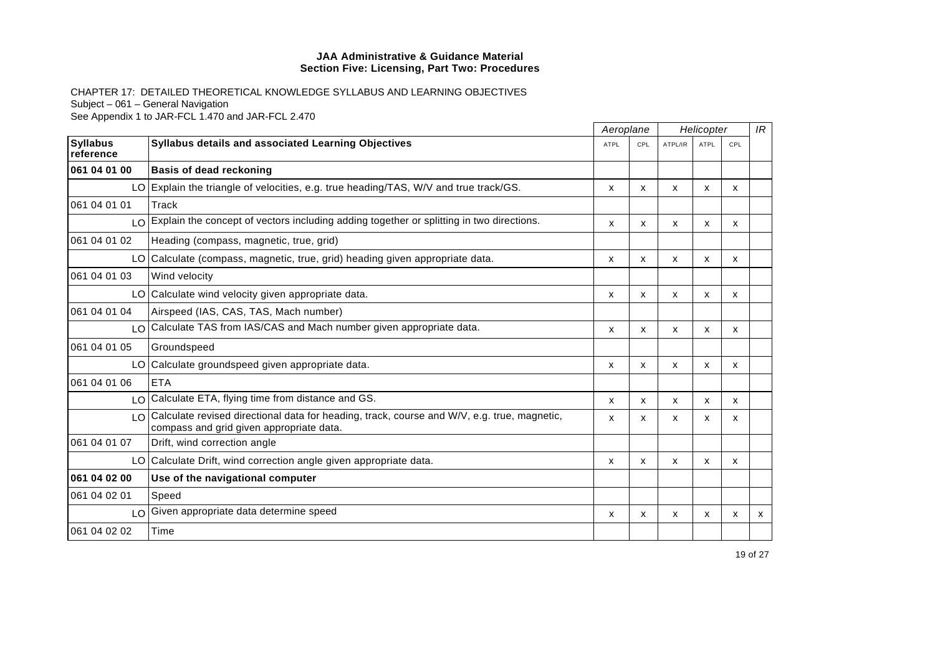|                              |                                                                                                                                             | Aeroplane   |     | Helicopter |             |              | IR |
|------------------------------|---------------------------------------------------------------------------------------------------------------------------------------------|-------------|-----|------------|-------------|--------------|----|
| <b>Syllabus</b><br>reference | <b>Syllabus details and associated Learning Objectives</b>                                                                                  | <b>ATPL</b> | CPL | ATPL/IR    | <b>ATPL</b> | CPL          |    |
| 061 04 01 00                 | <b>Basis of dead reckoning</b>                                                                                                              |             |     |            |             |              |    |
|                              | LO Explain the triangle of velocities, e.g. true heading/TAS, W/V and true track/GS.                                                        | x           | X   | X          | X           | x            |    |
| 061 04 01 01                 | Track                                                                                                                                       |             |     |            |             |              |    |
|                              | LO Explain the concept of vectors including adding together or splitting in two directions.                                                 | X           | X   | X          | X           | X            |    |
| 061 04 01 02                 | Heading (compass, magnetic, true, grid)                                                                                                     |             |     |            |             |              |    |
|                              | LO Calculate (compass, magnetic, true, grid) heading given appropriate data.                                                                | X           | X   | X          | X           | X            |    |
| 061 04 01 03                 | Wind velocity                                                                                                                               |             |     |            |             |              |    |
|                              | LO Calculate wind velocity given appropriate data.                                                                                          | x           | X   | X          | X           | X            |    |
| 061 04 01 04                 | Airspeed (IAS, CAS, TAS, Mach number)                                                                                                       |             |     |            |             |              |    |
|                              | LO Calculate TAS from IAS/CAS and Mach number given appropriate data.                                                                       | X           | X   | X          | X           | $\mathsf{x}$ |    |
| 061 04 01 05                 | Groundspeed                                                                                                                                 |             |     |            |             |              |    |
|                              | LO Calculate groundspeed given appropriate data.                                                                                            | X           | X   | X          | X           | х            |    |
| 061 04 01 06                 | <b>ETA</b>                                                                                                                                  |             |     |            |             |              |    |
|                              | LO Calculate ETA, flying time from distance and GS.                                                                                         | X           | x   | X          | X           | X            |    |
|                              | I O Calculate revised directional data for heading, track, course and W/V, e.g. true, magnetic,<br>compass and grid given appropriate data. | X           | x   | X          | X           | X            |    |
| 061 04 01 07                 | Drift, wind correction angle                                                                                                                |             |     |            |             |              |    |
|                              | LO Calculate Drift, wind correction angle given appropriate data.                                                                           | X           | X   | x          | x           | X            |    |
| 061 04 02 00                 | Use of the navigational computer                                                                                                            |             |     |            |             |              |    |
| 061 04 02 01                 | Speed                                                                                                                                       |             |     |            |             |              |    |
|                              | LO Given appropriate data determine speed                                                                                                   | X           | x   | x          | x           | x            | X  |
| 061 04 02 02                 | Time                                                                                                                                        |             |     |            |             |              |    |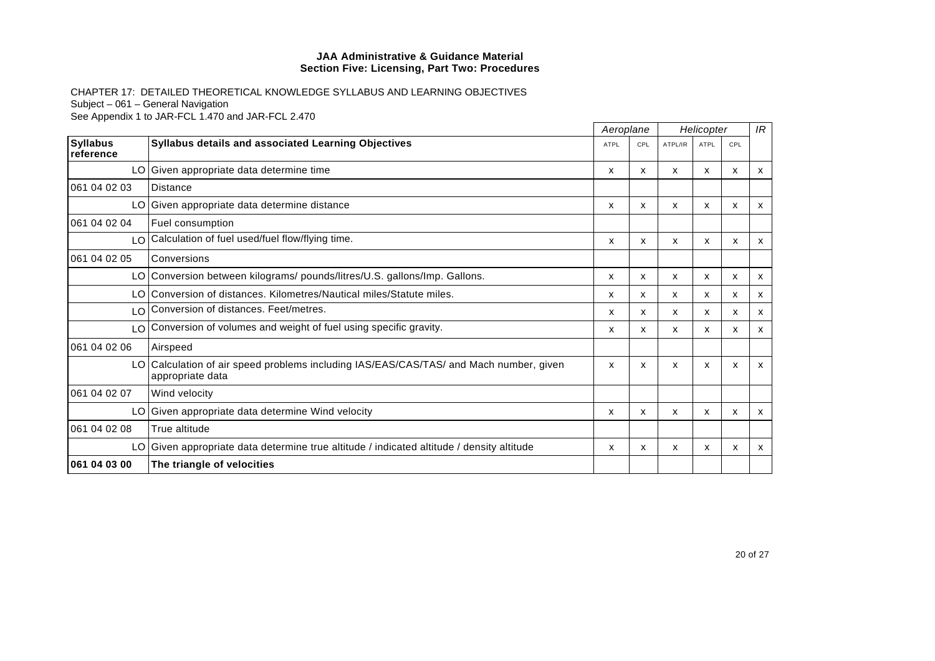|                              |                                                                                                            | Aeroplane   |     | Helicopter |      |     | IR                        |
|------------------------------|------------------------------------------------------------------------------------------------------------|-------------|-----|------------|------|-----|---------------------------|
| <b>Syllabus</b><br>reference | Syllabus details and associated Learning Objectives                                                        | <b>ATPL</b> | CPL | ATPL/IR    | ATPL | CPL |                           |
|                              | LO Given appropriate data determine time                                                                   | X           | x   | x          | x    | x   | x                         |
| 061 04 02 03                 | <b>Distance</b>                                                                                            |             |     |            |      |     |                           |
|                              | LO Given appropriate data determine distance                                                               | x           | x   | x          | x    | X   | $\mathsf{x}$              |
| 061 04 02 04                 | Fuel consumption                                                                                           |             |     |            |      |     |                           |
|                              | LO Calculation of fuel used/fuel flow/flying time.                                                         | x           | X   | X          | X    | x   | X                         |
| 061 04 02 05                 | Conversions                                                                                                |             |     |            |      |     |                           |
|                              | LO Conversion between kilograms/ pounds/litres/U.S. gallons/Imp. Gallons.                                  | X           | x   | X          | X    | X   | X                         |
|                              | LO Conversion of distances. Kilometres/Nautical miles/Statute miles.                                       | X           | x   | X          | x    | x   | X                         |
| LO                           | Conversion of distances. Feet/metres.                                                                      | x           | x   | x          | x    | x   | $\boldsymbol{\mathsf{x}}$ |
|                              | LO Conversion of volumes and weight of fuel using specific gravity.                                        | x           | x   | X          | x    | x   | х                         |
| 061 04 02 06                 | Airspeed                                                                                                   |             |     |            |      |     |                           |
|                              | LO Calculation of air speed problems including IAS/EAS/CAS/TAS/ and Mach number, given<br>appropriate data | X           | X   | x          | X    | X   | X                         |
| 061 04 02 07                 | Wind velocity                                                                                              |             |     |            |      |     |                           |
|                              | LO Given appropriate data determine Wind velocity                                                          | X           | x   | X          | X    | X   | $\mathsf{x}$              |
| 061 04 02 08                 | True altitude                                                                                              |             |     |            |      |     |                           |
|                              | LO Given appropriate data determine true altitude / indicated altitude / density altitude                  | x           | x   | х          | x    | x   | x                         |
| 061 04 03 00                 | The triangle of velocities                                                                                 |             |     |            |      |     |                           |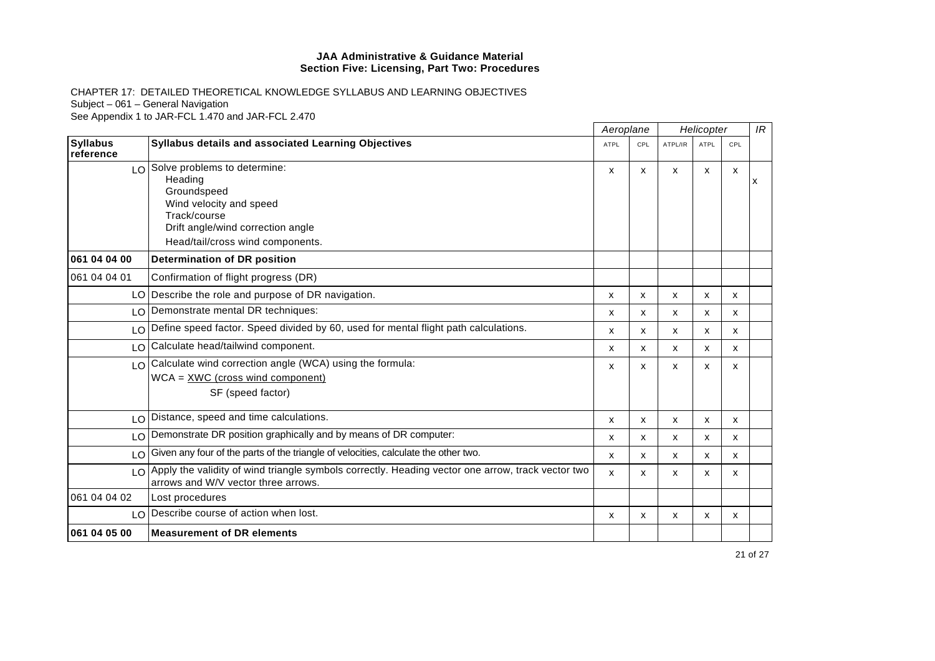|                              | Aeroplane                                                                                                                                   |             |     | Helicopter |             |              | IR |
|------------------------------|---------------------------------------------------------------------------------------------------------------------------------------------|-------------|-----|------------|-------------|--------------|----|
| <b>Syllabus</b><br>reference | <b>Syllabus details and associated Learning Objectives</b>                                                                                  | <b>ATPL</b> | CPL | ATPL/IR    | <b>ATPL</b> | CPL          |    |
|                              | $LO$ Solve problems to determine:<br>Heading<br>Groundspeed<br>Wind velocity and speed<br>Track/course<br>Drift angle/wind correction angle | X           | X   | X          | X           | $\mathsf{x}$ | x  |
|                              | Head/tail/cross wind components.                                                                                                            |             |     |            |             |              |    |
| 061 04 04 00                 | Determination of DR position                                                                                                                |             |     |            |             |              |    |
| 061 04 04 01                 | Confirmation of flight progress (DR)                                                                                                        |             |     |            |             |              |    |
|                              | LO Describe the role and purpose of DR navigation.                                                                                          | х           | x   | x          | х           | x            |    |
|                              | LO Demonstrate mental DR techniques:                                                                                                        | X           | X   | X          | X           | X            |    |
| LO                           | Define speed factor. Speed divided by 60, used for mental flight path calculations.                                                         | X           | X   | X          | x           | X            |    |
|                              | LO Calculate head/tailwind component.                                                                                                       | X           | X   | X          | X           | X            |    |
|                              | $\log$ Calculate wind correction angle (WCA) using the formula:<br>$WCA = XWC$ (cross wind component)<br>SF (speed factor)                  | X           | X   | X          | X           | $\mathsf{x}$ |    |
| LO                           | Distance, speed and time calculations.                                                                                                      | X           | x   | X          | x           | x            |    |
| LO                           | Demonstrate DR position graphically and by means of DR computer:                                                                            | X           | X   | X          | X           | X            |    |
|                              | LO Given any four of the parts of the triangle of velocities, calculate the other two.                                                      | X           | X   | X          | X           | X            |    |
|                              | LO Apply the validity of wind triangle symbols correctly. Heading vector one arrow, track vector two<br>arrows and W/V vector three arrows. | X           | X   | X          | X           | X            |    |
| 061 04 04 02                 | Lost procedures                                                                                                                             |             |     |            |             |              |    |
|                              | LO Describe course of action when lost.                                                                                                     | X           | X   | X          | X           | x            |    |
| 061 04 05 00                 | <b>Measurement of DR elements</b>                                                                                                           |             |     |            |             |              |    |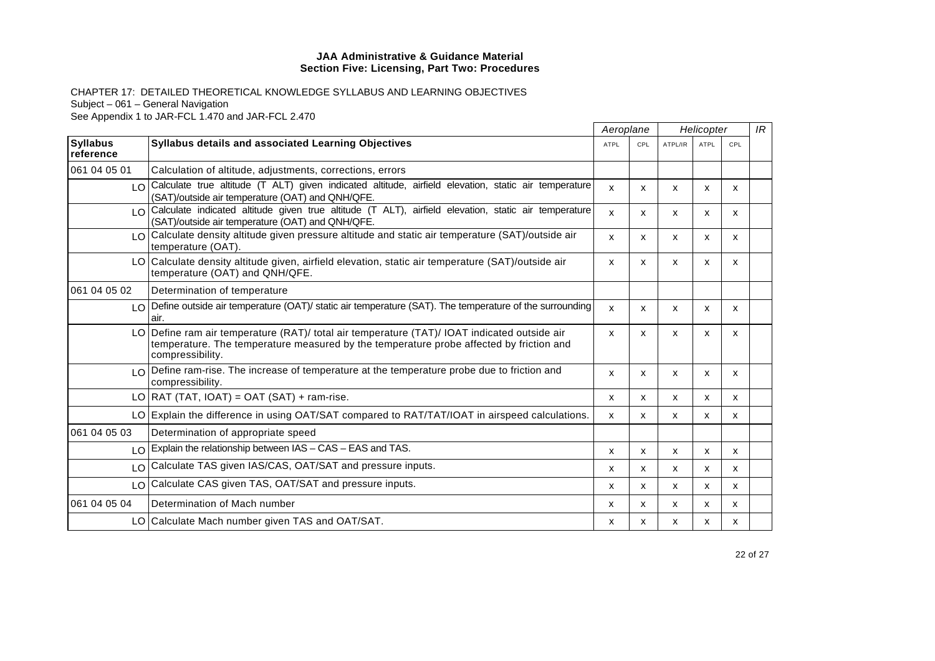|                              |                                                                                                                                                                                                             | Aeroplane    |     | Helicopter |             |     | IR |
|------------------------------|-------------------------------------------------------------------------------------------------------------------------------------------------------------------------------------------------------------|--------------|-----|------------|-------------|-----|----|
| <b>Syllabus</b><br>reference | Syllabus details and associated Learning Objectives                                                                                                                                                         | <b>ATPL</b>  | CPL | ATPL/IR    | <b>ATPL</b> | CPL |    |
| 061 04 05 01                 | Calculation of altitude, adjustments, corrections, errors                                                                                                                                                   |              |     |            |             |     |    |
|                              | LO Calculate true altitude (T ALT) given indicated altitude, airfield elevation, static air temperature<br>(SAT)/outside air temperature (OAT) and QNH/QFE.                                                 | $\mathsf{x}$ | x   | X          | x           | x   |    |
|                              | LO Calculate indicated altitude given true altitude (T ALT), airfield elevation, static air temperature<br>(SAT)/outside air temperature (OAT) and QNH/QFE.                                                 | X            | x   | х          | x           | x   |    |
| $\overline{O}$               | Calculate density altitude given pressure altitude and static air temperature (SAT)/outside air<br>temperature (OAT).                                                                                       | $\mathsf{x}$ | x   | X          | X           | x   |    |
|                              | LO Calculate density altitude given, airfield elevation, static air temperature (SAT)/outside air<br>temperature (OAT) and QNH/QFE.                                                                         | X            | X   | X          | x           | x   |    |
| 061 04 05 02                 | Determination of temperature                                                                                                                                                                                |              |     |            |             |     |    |
|                              | LO Define outside air temperature (OAT)/ static air temperature (SAT). The temperature of the surrounding<br>air.                                                                                           | X            | x   | X          | X           | X   |    |
|                              | LO Define ram air temperature (RAT)/ total air temperature (TAT)/ IOAT indicated outside air<br>temperature. The temperature measured by the temperature probe affected by friction and<br>compressibility. | X            | x   | X          | x           | x   |    |
|                              | $\log$ Define ram-rise. The increase of temperature at the temperature probe due to friction and<br>compressibility.                                                                                        | X            | X   | X          | X           | x   |    |
|                              | $LO   RAT   TAT   IOAT  = OAT   SAT   + ram-rise.$                                                                                                                                                          | X            | X   | X          | x           | x   |    |
|                              | LO Explain the difference in using OAT/SAT compared to RAT/TAT/IOAT in airspeed calculations.                                                                                                               | X            | x   | X          | x           | x   |    |
| 061 04 05 03                 | Determination of appropriate speed                                                                                                                                                                          |              |     |            |             |     |    |
|                              | $\log$ Explain the relationship between IAS – CAS – EAS and TAS.                                                                                                                                            | X            | x   | X          | x           | x   |    |
|                              | LO Calculate TAS given IAS/CAS, OAT/SAT and pressure inputs.                                                                                                                                                | x            | x   | X          | x           | x   |    |
| LO I                         | Calculate CAS given TAS, OAT/SAT and pressure inputs.                                                                                                                                                       | X            | x   | X          | x           | X   |    |
| 061 04 05 04                 | Determination of Mach number                                                                                                                                                                                | X            | x   | X          | x           | x   |    |
|                              | LO Calculate Mach number given TAS and OAT/SAT.                                                                                                                                                             | х            | X   | х          | x           | x   |    |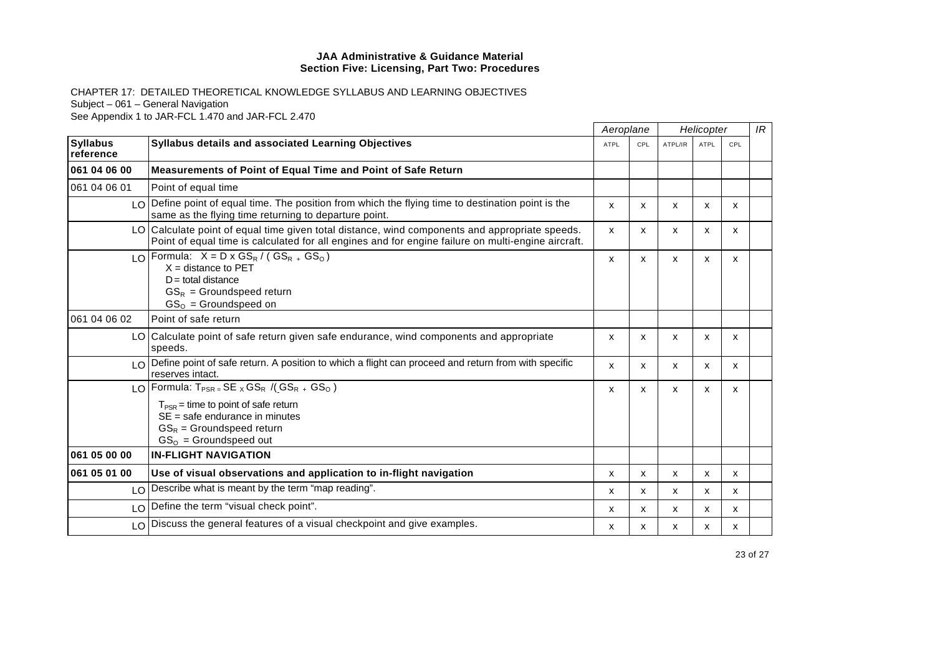|                              |                                                                                                                                                                                                      | Aeroplane    |     | Helicopter                |             |     | IR |
|------------------------------|------------------------------------------------------------------------------------------------------------------------------------------------------------------------------------------------------|--------------|-----|---------------------------|-------------|-----|----|
| <b>Syllabus</b><br>reference | <b>Syllabus details and associated Learning Objectives</b>                                                                                                                                           | <b>ATPL</b>  | CPL | ATPL/IR                   | <b>ATPL</b> | CPL |    |
| 061 04 06 00                 | Measurements of Point of Equal Time and Point of Safe Return                                                                                                                                         |              |     |                           |             |     |    |
| 061 04 06 01                 | Point of equal time                                                                                                                                                                                  |              |     |                           |             |     |    |
|                              | $\log$ Define point of equal time. The position from which the flying time to destination point is the<br>same as the flying time returning to departure point.                                      | $\mathsf{x}$ | X   | X                         | X           | X   |    |
|                              | LO Calculate point of equal time given total distance, wind components and appropriate speeds.<br>Point of equal time is calculated for all engines and for engine failure on multi-engine aircraft. | $\mathsf{x}$ | x   | X                         | X           | X   |    |
|                              | LO Formula: $X = D \times GS_R / (GS_{R+} GS_{O})$<br>$X = distance to PET$<br>$D =$ total distance<br>$GS_R =$ Groundspeed return<br>$GSo = Groundspeed on$                                         | X            | x   | X                         | X           | X   |    |
| 061 04 06 02                 | Point of safe return                                                                                                                                                                                 |              |     |                           |             |     |    |
|                              | LO Calculate point of safe return given safe endurance, wind components and appropriate<br>speeds.                                                                                                   | x            | X   | $\boldsymbol{\mathsf{x}}$ | X           | X   |    |
|                              | $\log$ Define point of safe return. A position to which a flight can proceed and return from with specific<br>reserves intact.                                                                       | x            | x   | X                         | x           | X   |    |
|                              | LO Formula: $T_{PSR}$ = SE x GS <sub>R</sub> /(GS <sub>R +</sub> GS <sub>O</sub> )                                                                                                                   | X            | x   | X                         | x           | X   |    |
|                              | $T_{PSR}$ = time to point of safe return<br>$SE = safe$ endurance in minutes<br>$GS_R$ = Groundspeed return<br>$GSO$ = Groundspeed out                                                               |              |     |                           |             |     |    |
| 061 05 00 00                 | <b>IN-FLIGHT NAVIGATION</b>                                                                                                                                                                          |              |     |                           |             |     |    |
| 061 05 01 00                 | Use of visual observations and application to in-flight navigation                                                                                                                                   | $\mathsf{x}$ | X   | X                         | X           | X   |    |
|                              | LO   Describe what is meant by the term "map reading".                                                                                                                                               | х            | x   | X                         | x           | x   |    |
|                              | LO Define the term "visual check point".                                                                                                                                                             | X            | x   | x                         | x           | x   |    |
|                              | LO Discuss the general features of a visual checkpoint and give examples.                                                                                                                            | $\mathsf{x}$ | x   | X                         | x           | x   |    |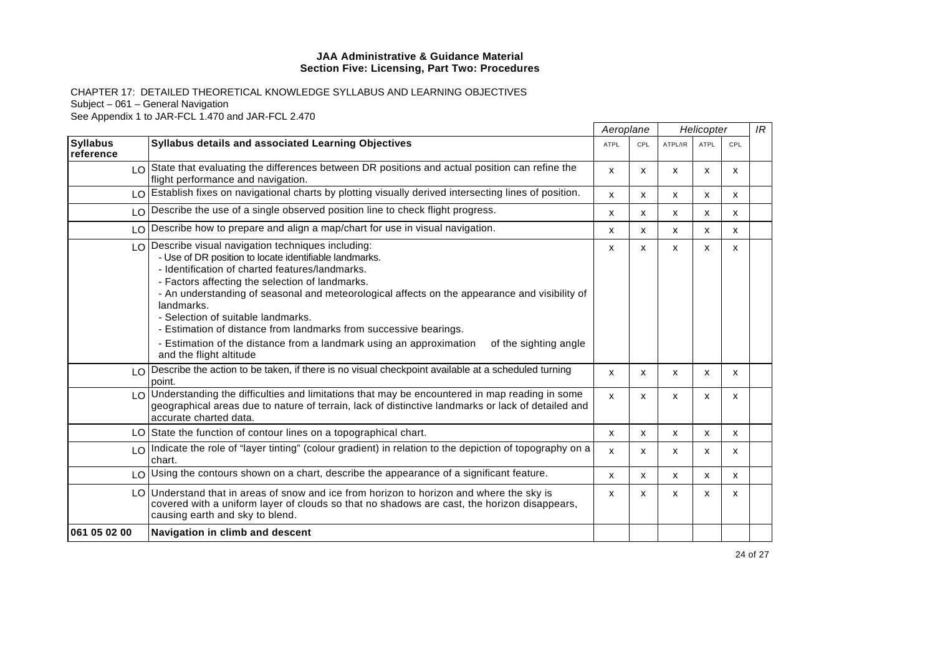|                              |                                                                                                                                                                                                                                                                                                                                                                                                                                                                                                                                                                          |              | Aeroplane |                           | Helicopter   |              | IR |
|------------------------------|--------------------------------------------------------------------------------------------------------------------------------------------------------------------------------------------------------------------------------------------------------------------------------------------------------------------------------------------------------------------------------------------------------------------------------------------------------------------------------------------------------------------------------------------------------------------------|--------------|-----------|---------------------------|--------------|--------------|----|
| <b>Syllabus</b><br>reference | Syllabus details and associated Learning Objectives                                                                                                                                                                                                                                                                                                                                                                                                                                                                                                                      | <b>ATPL</b>  | CPL       | ATPL/IR                   | <b>ATPL</b>  | CPL          |    |
|                              | $\log$ State that evaluating the differences between DR positions and actual position can refine the<br>flight performance and navigation.                                                                                                                                                                                                                                                                                                                                                                                                                               | x            | X         | $\boldsymbol{\mathsf{x}}$ | x            | X            |    |
| LO                           | Establish fixes on navigational charts by plotting visually derived intersecting lines of position.                                                                                                                                                                                                                                                                                                                                                                                                                                                                      | X            | X         | X                         | X            | x            |    |
|                              | LO Describe the use of a single observed position line to check flight progress.                                                                                                                                                                                                                                                                                                                                                                                                                                                                                         | X            | X         | X                         | X            | X            |    |
|                              | LO Describe how to prepare and align a map/chart for use in visual navigation.                                                                                                                                                                                                                                                                                                                                                                                                                                                                                           | X            | X         | X                         | X            | X            |    |
|                              | LO Describe visual navigation techniques including:<br>- Use of DR position to locate identifiable landmarks.<br>- Identification of charted features/landmarks.<br>- Factors affecting the selection of landmarks.<br>- An understanding of seasonal and meteorological affects on the appearance and visibility of<br>landmarks.<br>- Selection of suitable landmarks.<br>- Estimation of distance from landmarks from successive bearings.<br>- Estimation of the distance from a landmark using an approximation<br>of the sighting angle<br>and the flight altitude | X            | X         | X                         | X            | X            |    |
|                              | LO Describe the action to be taken, if there is no visual checkpoint available at a scheduled turning<br>point.                                                                                                                                                                                                                                                                                                                                                                                                                                                          | $\mathsf{x}$ | x         | $\boldsymbol{\mathsf{x}}$ | x            | X            |    |
|                              | LO Understanding the difficulties and limitations that may be encountered in map reading in some<br>geographical areas due to nature of terrain, lack of distinctive landmarks or lack of detailed and<br>accurate charted data.                                                                                                                                                                                                                                                                                                                                         | $\mathsf{x}$ | X         | X                         | X            | x            |    |
|                              | LO State the function of contour lines on a topographical chart.                                                                                                                                                                                                                                                                                                                                                                                                                                                                                                         | $\mathsf{x}$ | X         | X                         | x            | X            |    |
|                              | LO Indicate the role of "layer tinting" (colour gradient) in relation to the depiction of topography on a<br>chart.                                                                                                                                                                                                                                                                                                                                                                                                                                                      | X            | X         | X                         | X            | X            |    |
|                              | LO Using the contours shown on a chart, describe the appearance of a significant feature.                                                                                                                                                                                                                                                                                                                                                                                                                                                                                | X            | X         | X                         | $\mathsf{x}$ | $\mathsf{x}$ |    |
|                              | LO Understand that in areas of snow and ice from horizon to horizon and where the sky is<br>covered with a uniform layer of clouds so that no shadows are cast, the horizon disappears,<br>causing earth and sky to blend.                                                                                                                                                                                                                                                                                                                                               | X            | x         | X                         | x            | x            |    |
| 061 05 02 00                 | Navigation in climb and descent                                                                                                                                                                                                                                                                                                                                                                                                                                                                                                                                          |              |           |                           |              |              |    |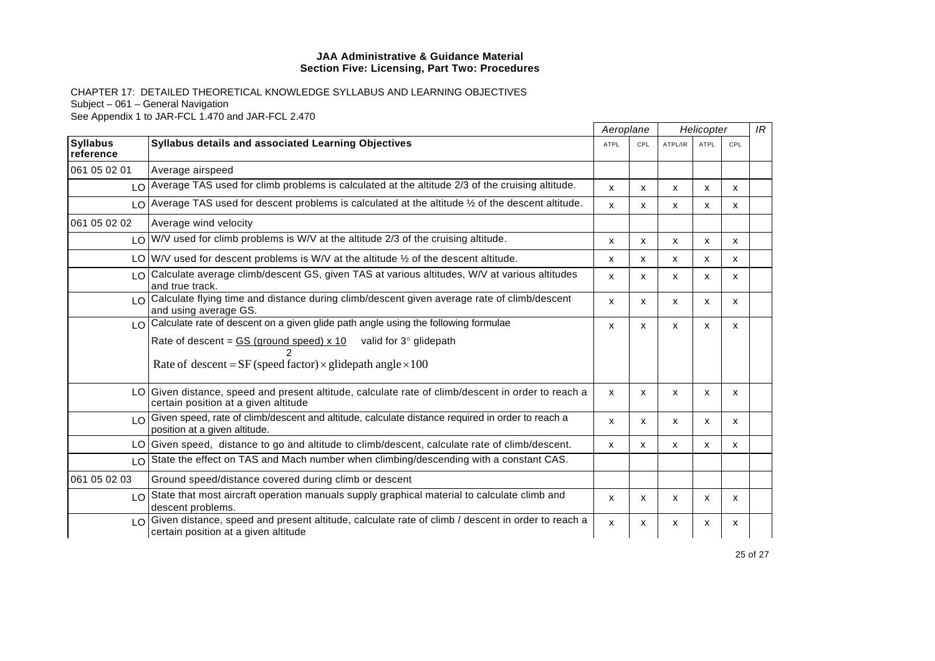| <b>Syllabus</b><br>reference  |                                                                                                                                                                                                                                                  | Aeroplane    |     | Helicopter |             |     | IR |
|-------------------------------|--------------------------------------------------------------------------------------------------------------------------------------------------------------------------------------------------------------------------------------------------|--------------|-----|------------|-------------|-----|----|
|                               | <b>Syllabus details and associated Learning Objectives</b>                                                                                                                                                                                       | <b>ATPL</b>  | CPL | ATPL/IR    | <b>ATPL</b> | CPL |    |
| 061 05 02 01                  | Average airspeed                                                                                                                                                                                                                                 |              |     |            |             |     |    |
|                               | LO   Average TAS used for climb problems is calculated at the altitude 2/3 of the cruising altitude.                                                                                                                                             | $\mathsf{x}$ | x   | X          | x           | x   |    |
| $\overline{10}$               | Average TAS used for descent problems is calculated at the altitude $\frac{1}{2}$ of the descent altitude.                                                                                                                                       | $\mathsf{x}$ | X   | X          | X           | X   |    |
| 061 05 02 02                  | Average wind velocity                                                                                                                                                                                                                            |              |     |            |             |     |    |
|                               | LO W/V used for climb problems is W/V at the altitude 2/3 of the cruising altitude.                                                                                                                                                              | X            | X   | X          | x           | X   |    |
|                               | LO $ W/V $ used for descent problems is W/V at the altitude $\frac{1}{2}$ of the descent altitude.                                                                                                                                               | X            | X   | X          | X           | x   |    |
| $\overline{1}$ $\overline{0}$ | Calculate average climb/descent GS, given TAS at various altitudes, W/V at various altitudes<br>and true track.                                                                                                                                  | X            | X   | X          | X           | X   |    |
|                               | LO Calculate flying time and distance during climb/descent given average rate of climb/descent<br>and using average GS.                                                                                                                          | X            | X   | X          | X           | x   |    |
|                               | LO Calculate rate of descent on a given glide path angle using the following formulae<br>Rate of descent = $GS$ (ground speed) x 10 valid for $3^\circ$ glidepath<br>Rate of descent = $SF$ (speed factor) $\times$ glidepath angle $\times 100$ | X            | x   | X          | x           | x   |    |
|                               | LO Given distance, speed and present altitude, calculate rate of climb/descent in order to reach a<br>certain position at a given altitude                                                                                                       | X            | x   | X          | x           | x   |    |
|                               | $\log$ Given speed, rate of climb/descent and altitude, calculate distance required in order to reach a<br>position at a given altitude.                                                                                                         | $\mathsf{x}$ | X   | X          | X           | X   |    |
|                               | LO Given speed, distance to go and altitude to climb/descent, calculate rate of climb/descent.                                                                                                                                                   | X            | x   | X          | X           | x   |    |
|                               | LO State the effect on TAS and Mach number when climbing/descending with a constant CAS.                                                                                                                                                         |              |     |            |             |     |    |
| 061 05 02 03                  | Ground speed/distance covered during climb or descent                                                                                                                                                                                            |              |     |            |             |     |    |
|                               | LO State that most aircraft operation manuals supply graphical material to calculate climb and<br>descent problems.                                                                                                                              | X            | X   | X          | X           | X   |    |
|                               | LO Given distance, speed and present altitude, calculate rate of climb / descent in order to reach a<br>certain position at a given altitude                                                                                                     | X            | X   | X          | X           | X   |    |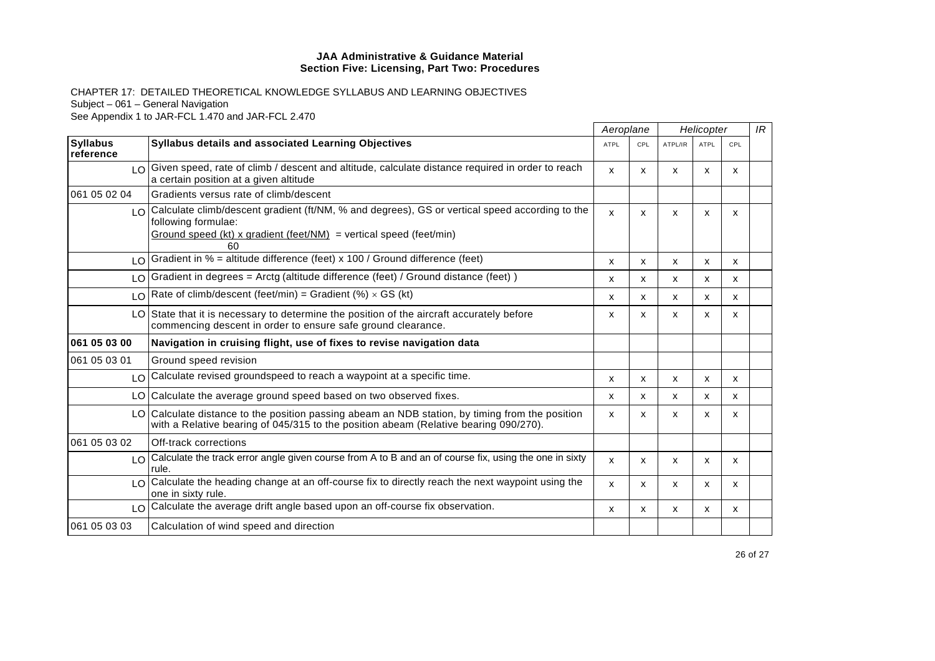|                              |                                                                                                                                                                                                      | Aeroplane                 |     | Helicopter                |             |     | IR |
|------------------------------|------------------------------------------------------------------------------------------------------------------------------------------------------------------------------------------------------|---------------------------|-----|---------------------------|-------------|-----|----|
| <b>Syllabus</b><br>reference | <b>Syllabus details and associated Learning Objectives</b>                                                                                                                                           | <b>ATPL</b>               | CPL | ATPL/IR                   | <b>ATPL</b> | CPL |    |
|                              | LO Given speed, rate of climb / descent and altitude, calculate distance required in order to reach<br>a certain position at a given altitude                                                        | x                         | X   | X                         | X           | X   |    |
| 061 05 02 04                 | Gradients versus rate of climb/descent                                                                                                                                                               |                           |     |                           |             |     |    |
|                              | LO Calculate climb/descent gradient (ft/NM, % and degrees), GS or vertical speed according to the<br>following formulae:<br>Ground speed (kt) x gradient (feet/NM) = vertical speed (feet/min)<br>60 | $\boldsymbol{\mathsf{x}}$ | X   | X                         | x           | X   |    |
| LO.                          | Gradient in % = altitude difference (feet) x 100 / Ground difference (feet)                                                                                                                          | X                         | X   | $\boldsymbol{\mathsf{x}}$ | X           | X   |    |
|                              | LO Gradient in degrees = Arctg (altitude difference (feet) / Ground distance (feet))                                                                                                                 | $\boldsymbol{\mathsf{x}}$ | x   | X                         | X           | X   |    |
|                              | LO Rate of climb/descent (feet/min) = Gradient (%) $\times$ GS (kt)                                                                                                                                  | X                         | x   | X                         | X           | X   |    |
|                              | LO State that it is necessary to determine the position of the aircraft accurately before<br>commencing descent in order to ensure safe ground clearance.                                            | X                         | x   | X                         | x           | x   |    |
| 061 05 03 00                 | Navigation in cruising flight, use of fixes to revise navigation data                                                                                                                                |                           |     |                           |             |     |    |
| 061 05 03 01                 | Ground speed revision                                                                                                                                                                                |                           |     |                           |             |     |    |
|                              | LO Calculate revised groundspeed to reach a waypoint at a specific time.                                                                                                                             | x                         | x   | x                         | x           | x   |    |
|                              | LO Calculate the average ground speed based on two observed fixes.                                                                                                                                   | x                         | x   | X                         | x           | x   |    |
|                              | LO Calculate distance to the position passing abeam an NDB station, by timing from the position<br>with a Relative bearing of 045/315 to the position abeam (Relative bearing 090/270).              | X                         | x   | X                         | X           | x   |    |
| 061 05 03 02                 | Off-track corrections                                                                                                                                                                                |                           |     |                           |             |     |    |
|                              | LO Calculate the track error angle given course from A to B and an of course fix, using the one in sixty<br>rule.                                                                                    | $\mathsf{x}$              | x   | X                         | X           | X   |    |
| LO.                          | Calculate the heading change at an off-course fix to directly reach the next waypoint using the<br>one in sixty rule.                                                                                | X                         | X   | X                         | X           | X   |    |
|                              | LO Calculate the average drift angle based upon an off-course fix observation.                                                                                                                       | $\boldsymbol{\mathsf{x}}$ | x   | X                         | X           | X   |    |
| 061 05 03 03                 | Calculation of wind speed and direction                                                                                                                                                              |                           |     |                           |             |     |    |